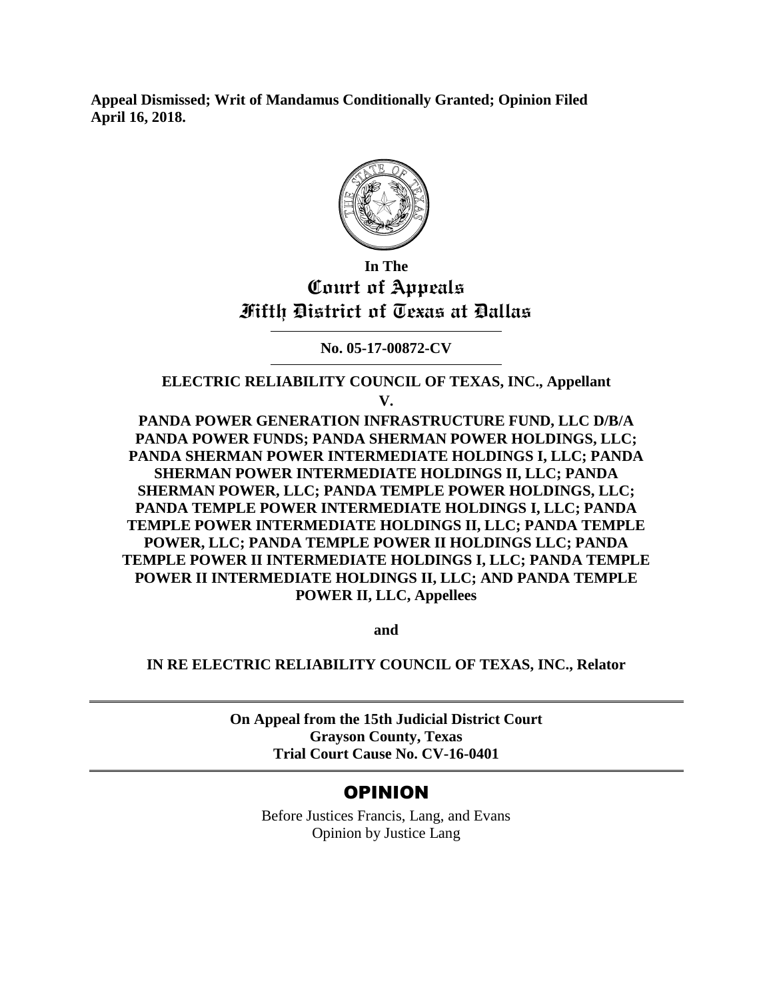**Appeal Dismissed; Writ of Mandamus Conditionally Granted; Opinion Filed April 16, 2018.**



# **In The Court of Appeals Fifth District of Texas at Dallas**

**No. 05-17-00872-CV**

**ELECTRIC RELIABILITY COUNCIL OF TEXAS, INC., Appellant**

**V.**

**PANDA POWER GENERATION INFRASTRUCTURE FUND, LLC D/B/A PANDA POWER FUNDS; PANDA SHERMAN POWER HOLDINGS, LLC; PANDA SHERMAN POWER INTERMEDIATE HOLDINGS I, LLC; PANDA SHERMAN POWER INTERMEDIATE HOLDINGS II, LLC; PANDA SHERMAN POWER, LLC; PANDA TEMPLE POWER HOLDINGS, LLC; PANDA TEMPLE POWER INTERMEDIATE HOLDINGS I, LLC; PANDA TEMPLE POWER INTERMEDIATE HOLDINGS II, LLC; PANDA TEMPLE POWER, LLC; PANDA TEMPLE POWER II HOLDINGS LLC; PANDA TEMPLE POWER II INTERMEDIATE HOLDINGS I, LLC; PANDA TEMPLE POWER II INTERMEDIATE HOLDINGS II, LLC; AND PANDA TEMPLE POWER II, LLC, Appellees**

**and**

**IN RE ELECTRIC RELIABILITY COUNCIL OF TEXAS, INC., Relator**

**On Appeal from the 15th Judicial District Court Grayson County, Texas Trial Court Cause No. CV-16-0401**

# OPINION

Before Justices Francis, Lang, and Evans Opinion by Justice Lang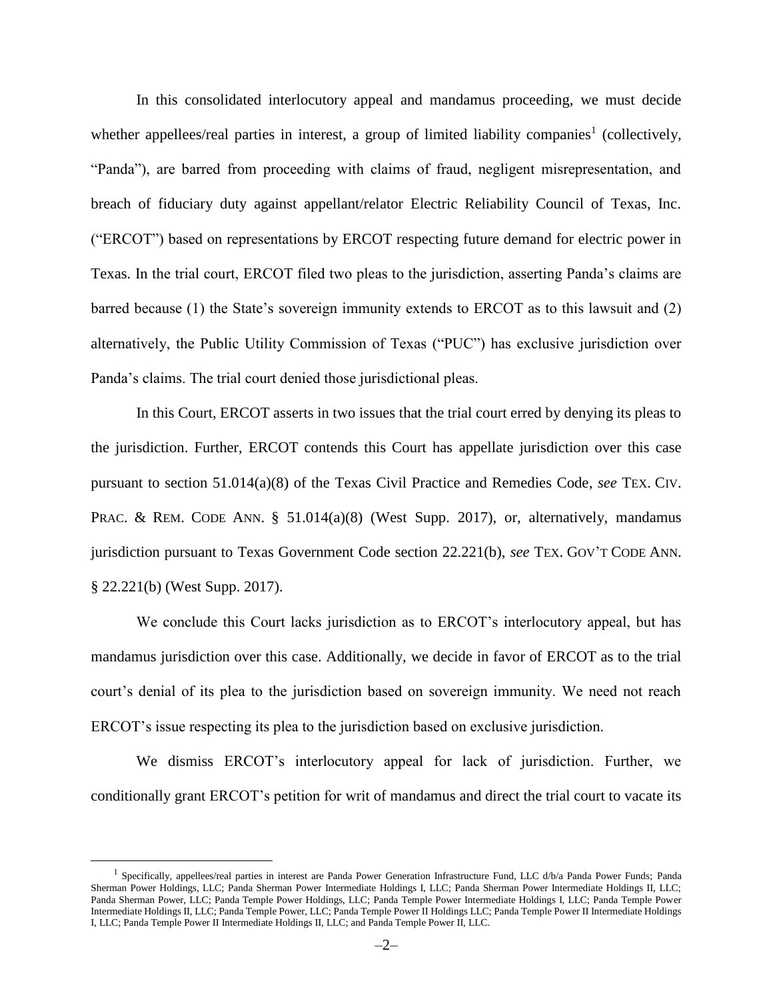In this consolidated interlocutory appeal and mandamus proceeding, we must decide whether appellees/real parties in interest, a group of limited liability companies<sup>1</sup> (collectively, "Panda"), are barred from proceeding with claims of fraud, negligent misrepresentation, and breach of fiduciary duty against appellant/relator Electric Reliability Council of Texas, Inc. ("ERCOT") based on representations by ERCOT respecting future demand for electric power in Texas. In the trial court, ERCOT filed two pleas to the jurisdiction, asserting Panda's claims are barred because (1) the State's sovereign immunity extends to ERCOT as to this lawsuit and (2) alternatively, the Public Utility Commission of Texas ("PUC") has exclusive jurisdiction over Panda's claims. The trial court denied those jurisdictional pleas.

In this Court, ERCOT asserts in two issues that the trial court erred by denying its pleas to the jurisdiction. Further, ERCOT contends this Court has appellate jurisdiction over this case pursuant to section 51.014(a)(8) of the Texas Civil Practice and Remedies Code, *see* TEX. CIV. PRAC. & REM. CODE ANN. § 51.014(a)(8) (West Supp. 2017), or, alternatively, mandamus jurisdiction pursuant to Texas Government Code section 22.221(b), *see* TEX. GOV'T CODE ANN. § 22.221(b) (West Supp. 2017).

We conclude this Court lacks jurisdiction as to ERCOT's interlocutory appeal, but has mandamus jurisdiction over this case. Additionally, we decide in favor of ERCOT as to the trial court's denial of its plea to the jurisdiction based on sovereign immunity. We need not reach ERCOT's issue respecting its plea to the jurisdiction based on exclusive jurisdiction.

We dismiss ERCOT's interlocutory appeal for lack of jurisdiction. Further, we conditionally grant ERCOT's petition for writ of mandamus and direct the trial court to vacate its

 $\overline{a}$ 

<sup>&</sup>lt;sup>1</sup> Specifically, appellees/real parties in interest are Panda Power Generation Infrastructure Fund, LLC d/b/a Panda Power Funds; Panda Sherman Power Holdings, LLC; Panda Sherman Power Intermediate Holdings I, LLC; Panda Sherman Power Intermediate Holdings II, LLC; Panda Sherman Power, LLC; Panda Temple Power Holdings, LLC; Panda Temple Power Intermediate Holdings I, LLC; Panda Temple Power Intermediate Holdings II, LLC; Panda Temple Power, LLC; Panda Temple Power II Holdings LLC; Panda Temple Power II Intermediate Holdings I, LLC; Panda Temple Power II Intermediate Holdings II, LLC; and Panda Temple Power II, LLC.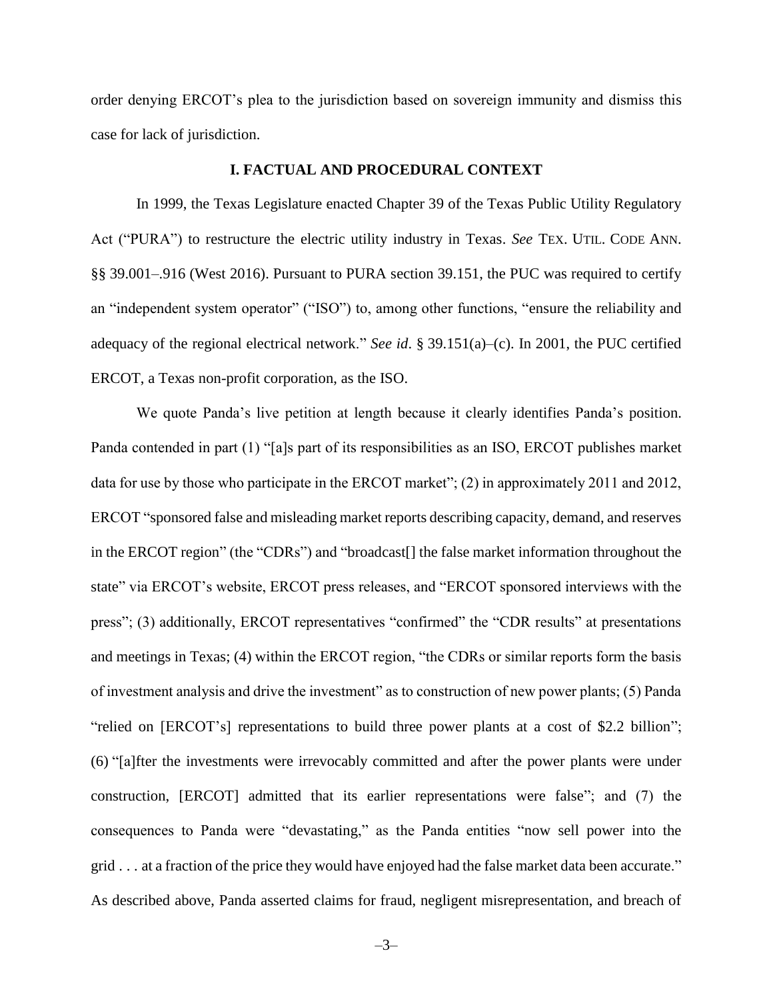order denying ERCOT's plea to the jurisdiction based on sovereign immunity and dismiss this case for lack of jurisdiction.

#### **I. FACTUAL AND PROCEDURAL CONTEXT**

In 1999, the Texas Legislature enacted Chapter 39 of the Texas Public Utility Regulatory Act ("PURA") to restructure the electric utility industry in Texas. *See* TEX. UTIL. CODE ANN. §§ 39.001–.916 (West 2016). Pursuant to PURA section 39.151, the PUC was required to certify an "independent system operator" ("ISO") to, among other functions, "ensure the reliability and adequacy of the regional electrical network." *See id*. § 39.151(a)–(c). In 2001, the PUC certified ERCOT, a Texas non-profit corporation, as the ISO.

We quote Panda's live petition at length because it clearly identifies Panda's position. Panda contended in part (1) "[a]s part of its responsibilities as an ISO, ERCOT publishes market data for use by those who participate in the ERCOT market"; (2) in approximately 2011 and 2012, ERCOT "sponsored false and misleading market reports describing capacity, demand, and reserves in the ERCOT region" (the "CDRs") and "broadcast[] the false market information throughout the state" via ERCOT's website, ERCOT press releases, and "ERCOT sponsored interviews with the press"; (3) additionally, ERCOT representatives "confirmed" the "CDR results" at presentations and meetings in Texas; (4) within the ERCOT region, "the CDRs or similar reports form the basis of investment analysis and drive the investment" as to construction of new power plants; (5) Panda "relied on [ERCOT's] representations to build three power plants at a cost of \$2.2 billion"; (6) "[a]fter the investments were irrevocably committed and after the power plants were under construction, [ERCOT] admitted that its earlier representations were false"; and (7) the consequences to Panda were "devastating," as the Panda entities "now sell power into the grid . . . at a fraction of the price they would have enjoyed had the false market data been accurate." As described above, Panda asserted claims for fraud, negligent misrepresentation, and breach of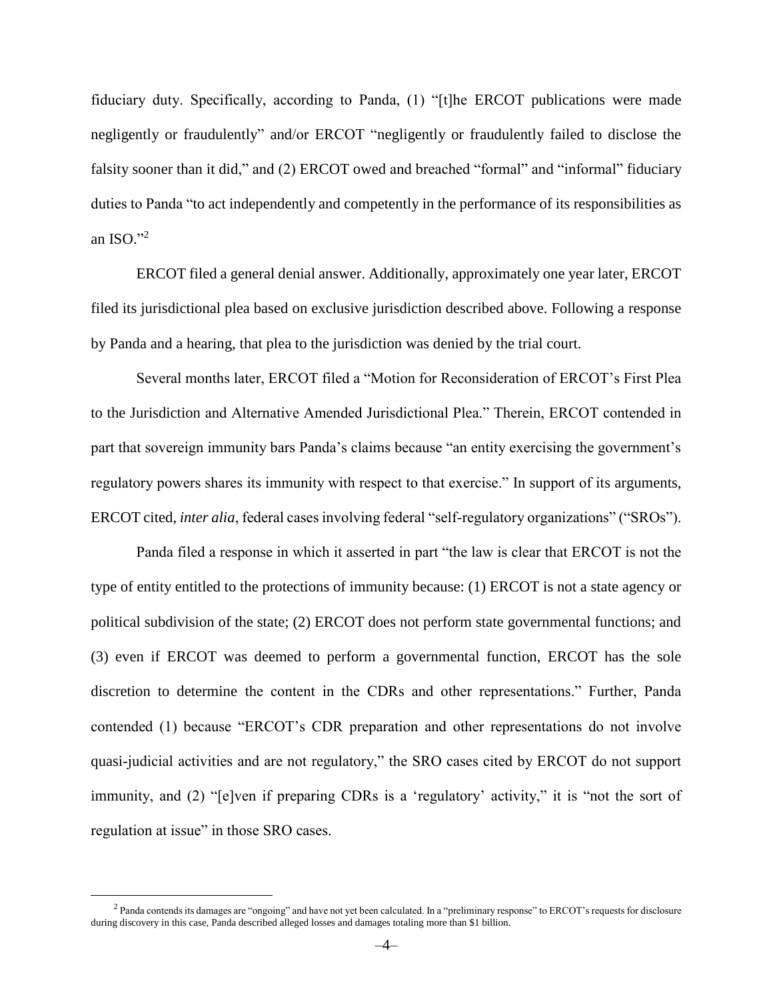fiduciary duty. Specifically, according to Panda, (1) "[t]he ERCOT publications were made negligently or fraudulently" and/or ERCOT "negligently or fraudulently failed to disclose the falsity sooner than it did," and (2) ERCOT owed and breached "formal" and "informal" fiduciary duties to Panda "to act independently and competently in the performance of its responsibilities as an ISO." $^2$ 

ERCOT filed a general denial answer. Additionally, approximately one year later, ERCOT filed its jurisdictional plea based on exclusive jurisdiction described above. Following a response by Panda and a hearing, that plea to the jurisdiction was denied by the trial court.

Several months later, ERCOT filed a "Motion for Reconsideration of ERCOT's First Plea to the Jurisdiction and Alternative Amended Jurisdictional Plea." Therein, ERCOT contended in part that sovereign immunity bars Panda's claims because "an entity exercising the government's regulatory powers shares its immunity with respect to that exercise." In support of its arguments, ERCOT cited, *inter alia*, federal cases involving federal "self-regulatory organizations" ("SROs").

Panda filed a response in which it asserted in part "the law is clear that ERCOT is not the type of entity entitled to the protections of immunity because: (1) ERCOT is not a state agency or political subdivision of the state; (2) ERCOT does not perform state governmental functions; and (3) even if ERCOT was deemed to perform a governmental function, ERCOT has the sole discretion to determine the content in the CDRs and other representations." Further, Panda contended (1) because "ERCOT's CDR preparation and other representations do not involve quasi-judicial activities and are not regulatory," the SRO cases cited by ERCOT do not support immunity, and (2) "[e]ven if preparing CDRs is a 'regulatory' activity," it is "not the sort of regulation at issue" in those SRO cases.

 $\overline{a}$ 

 $<sup>2</sup>$  Panda contends its damages are "ongoing" and have not yet been calculated. In a "preliminary response" to ERCOT's requests for disclosure</sup> during discovery in this case, Panda described alleged losses and damages totaling more than \$1 billion.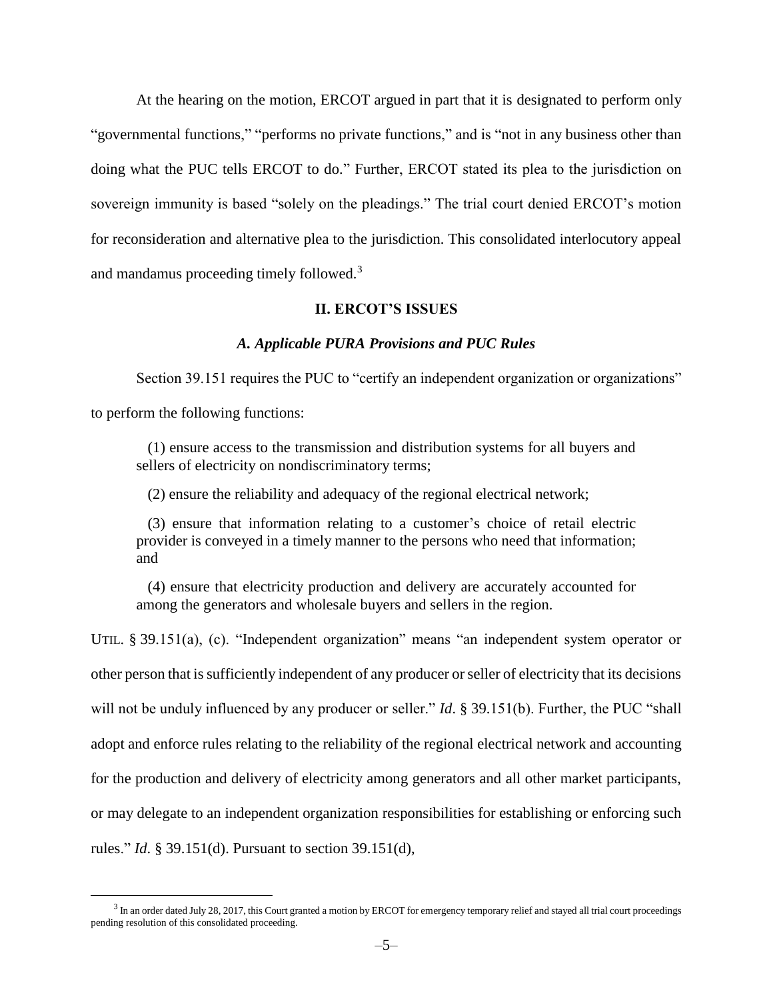At the hearing on the motion, ERCOT argued in part that it is designated to perform only "governmental functions," "performs no private functions," and is "not in any business other than doing what the PUC tells ERCOT to do." Further, ERCOT stated its plea to the jurisdiction on sovereign immunity is based "solely on the pleadings." The trial court denied ERCOT's motion for reconsideration and alternative plea to the jurisdiction. This consolidated interlocutory appeal and mandamus proceeding timely followed.<sup>3</sup>

## **II. ERCOT'S ISSUES**

#### *A. Applicable PURA Provisions and PUC Rules*

Section 39.151 requires the PUC to "certify an independent organization or organizations"

to perform the following functions:

 $\overline{a}$ 

 (1) ensure access to the transmission and distribution systems for all buyers and sellers of electricity on nondiscriminatory terms;

(2) ensure the reliability and adequacy of the regional electrical network;

 (3) ensure that information relating to a customer's choice of retail electric provider is conveyed in a timely manner to the persons who need that information; and

 (4) ensure that electricity production and delivery are accurately accounted for among the generators and wholesale buyers and sellers in the region.

UTIL. § 39.151(a), (c). "Independent organization" means "an independent system operator or other person that is sufficiently independent of any producer or seller of electricity that its decisions will not be unduly influenced by any producer or seller." *Id*. § 39.151(b). Further, the PUC "shall adopt and enforce rules relating to the reliability of the regional electrical network and accounting for the production and delivery of electricity among generators and all other market participants, or may delegate to an independent organization responsibilities for establishing or enforcing such rules." *Id*. § 39.151(d). Pursuant to section 39.151(d),

 $^3$  In an order dated July 28, 2017, this Court granted a motion by ERCOT for emergency temporary relief and stayed all trial court proceedings pending resolution of this consolidated proceeding.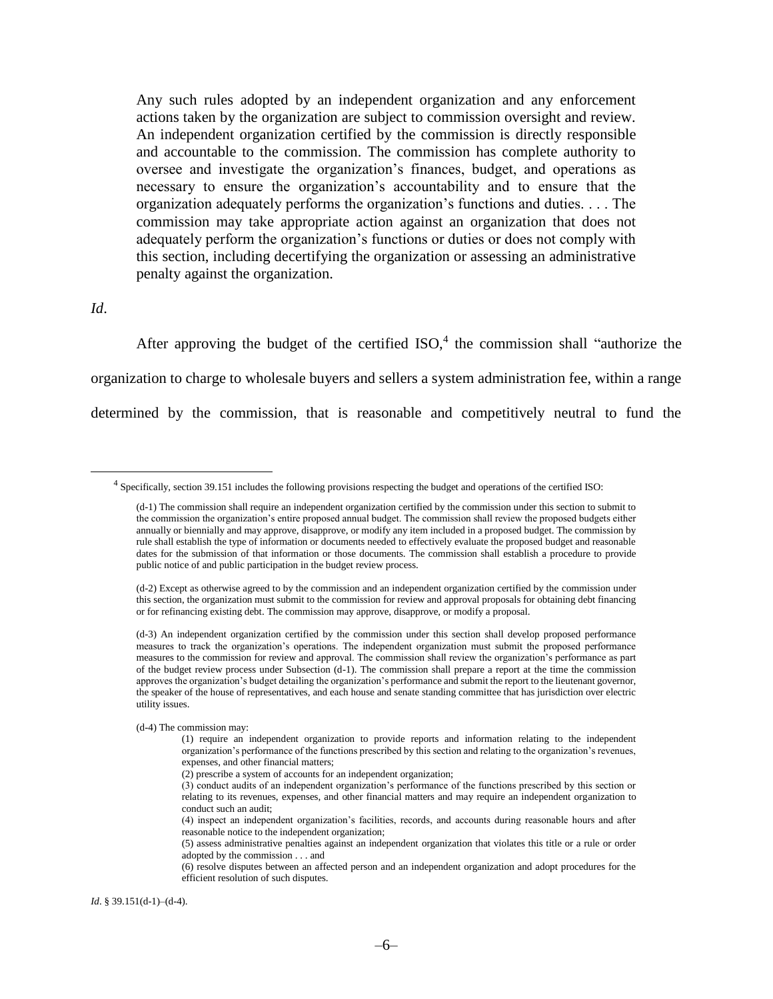Any such rules adopted by an independent organization and any enforcement actions taken by the organization are subject to commission oversight and review. An independent organization certified by the commission is directly responsible and accountable to the commission. The commission has complete authority to oversee and investigate the organization's finances, budget, and operations as necessary to ensure the organization's accountability and to ensure that the organization adequately performs the organization's functions and duties. . . . The commission may take appropriate action against an organization that does not adequately perform the organization's functions or duties or does not comply with this section, including decertifying the organization or assessing an administrative penalty against the organization.

*Id*.

 $\overline{a}$ 

After approving the budget of the certified  $ISO<sub>1</sub><sup>4</sup>$  the commission shall "authorize the organization to charge to wholesale buyers and sellers a system administration fee, within a range determined by the commission, that is reasonable and competitively neutral to fund the

*Id*. § 39.151(d-1)–(d-4).

<sup>4</sup> Specifically, section 39.151 includes the following provisions respecting the budget and operations of the certified ISO:

<sup>(</sup>d-1) The commission shall require an independent organization certified by the commission under this section to submit to the commission the organization's entire proposed annual budget. The commission shall review the proposed budgets either annually or biennially and may approve, disapprove, or modify any item included in a proposed budget. The commission by rule shall establish the type of information or documents needed to effectively evaluate the proposed budget and reasonable dates for the submission of that information or those documents. The commission shall establish a procedure to provide public notice of and public participation in the budget review process.

<sup>(</sup>d-2) Except as otherwise agreed to by the commission and an independent organization certified by the commission under this section, the organization must submit to the commission for review and approval proposals for obtaining debt financing or for refinancing existing debt. The commission may approve, disapprove, or modify a proposal.

<sup>(</sup>d-3) An independent organization certified by the commission under this section shall develop proposed performance measures to track the organization's operations. The independent organization must submit the proposed performance measures to the commission for review and approval. The commission shall review the organization's performance as part of the budget review process under Subsection (d-1). The commission shall prepare a report at the time the commission approves the organization's budget detailing the organization's performance and submit the report to the lieutenant governor, the speaker of the house of representatives, and each house and senate standing committee that has jurisdiction over electric utility issues.

<sup>(</sup>d-4) The commission may:

<sup>(1)</sup> require an independent organization to provide reports and information relating to the independent organization's performance of the functions prescribed by this section and relating to the organization's revenues, expenses, and other financial matters;

<sup>(2)</sup> prescribe a system of accounts for an independent organization;

<sup>(3)</sup> conduct audits of an independent organization's performance of the functions prescribed by this section or relating to its revenues, expenses, and other financial matters and may require an independent organization to conduct such an audit;

<sup>(4)</sup> inspect an independent organization's facilities, records, and accounts during reasonable hours and after reasonable notice to the independent organization;

<sup>(5)</sup> assess administrative penalties against an independent organization that violates this title or a rule or order adopted by the commission . . . and

<sup>(6)</sup> resolve disputes between an affected person and an independent organization and adopt procedures for the efficient resolution of such disputes.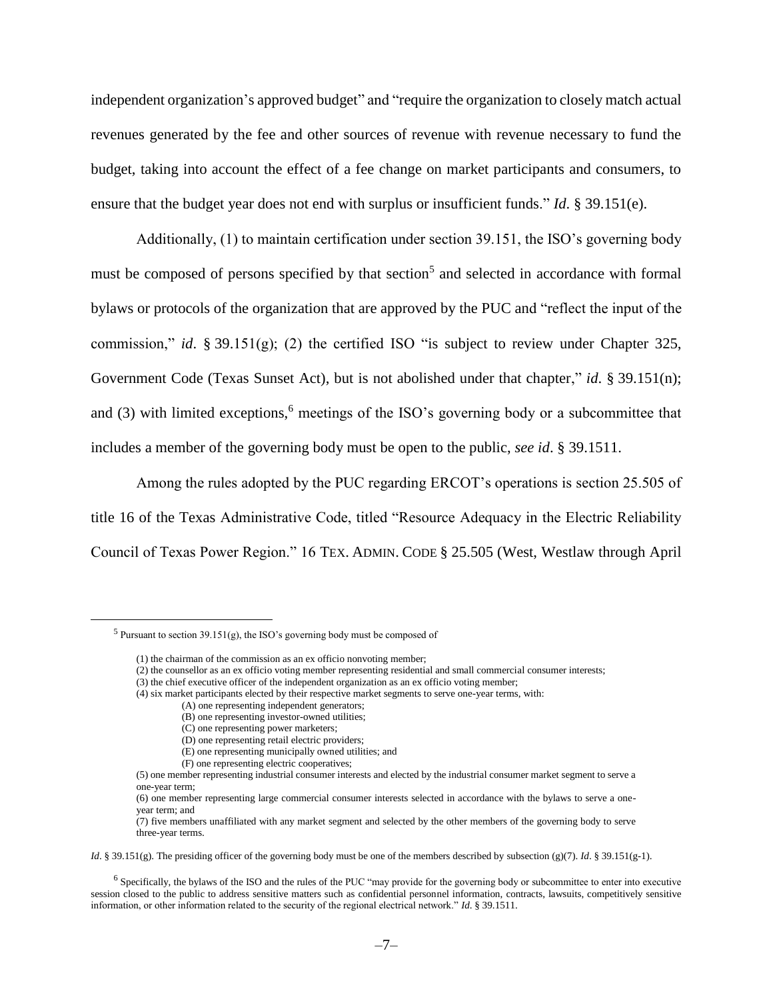independent organization's approved budget" and "require the organization to closely match actual revenues generated by the fee and other sources of revenue with revenue necessary to fund the budget, taking into account the effect of a fee change on market participants and consumers, to ensure that the budget year does not end with surplus or insufficient funds." *Id*. § 39.151(e).

Additionally, (1) to maintain certification under section 39.151, the ISO's governing body must be composed of persons specified by that section<sup>5</sup> and selected in accordance with formal bylaws or protocols of the organization that are approved by the PUC and "reflect the input of the commission," *id*. § 39.151(g); (2) the certified ISO "is subject to review under Chapter 325, Government Code (Texas Sunset Act), but is not abolished under that chapter," *id*. § 39.151(n); and  $(3)$  with limited exceptions,<sup>6</sup> meetings of the ISO's governing body or a subcommittee that includes a member of the governing body must be open to the public, *see id*. § 39.1511.

Among the rules adopted by the PUC regarding ERCOT's operations is section 25.505 of title 16 of the Texas Administrative Code, titled "Resource Adequacy in the Electric Reliability Council of Texas Power Region." 16 TEX. ADMIN. CODE § 25.505 (West, Westlaw through April

 $\overline{a}$ 

(E) one representing municipally owned utilities; and

*Id.* § 39.151(g). The presiding officer of the governing body must be one of the members described by subsection (g)(7). *Id.* § 39.151(g-1).

<sup>&</sup>lt;sup>5</sup> Pursuant to section 39.151(g), the ISO's governing body must be composed of

<sup>(1)</sup> the chairman of the commission as an ex officio nonvoting member;

<sup>(2)</sup> the counsellor as an ex officio voting member representing residential and small commercial consumer interests;

<sup>(3)</sup> the chief executive officer of the independent organization as an ex officio voting member;

<sup>(4)</sup> six market participants elected by their respective market segments to serve one-year terms, with:

<sup>(</sup>A) one representing independent generators;

<sup>(</sup>B) one representing investor-owned utilities;

<sup>(</sup>C) one representing power marketers;

<sup>(</sup>D) one representing retail electric providers;

<sup>(</sup>F) one representing electric cooperatives;

<sup>(5)</sup> one member representing industrial consumer interests and elected by the industrial consumer market segment to serve a one-year term;

<sup>(6)</sup> one member representing large commercial consumer interests selected in accordance with the bylaws to serve a oneyear term; and

<sup>(7)</sup> five members unaffiliated with any market segment and selected by the other members of the governing body to serve three-year terms.

<sup>&</sup>lt;sup>6</sup> Specifically, the bylaws of the ISO and the rules of the PUC "may provide for the governing body or subcommittee to enter into executive session closed to the public to address sensitive matters such as confidential personnel information, contracts, lawsuits, competitively sensitive information, or other information related to the security of the regional electrical network." *Id*. § 39.1511.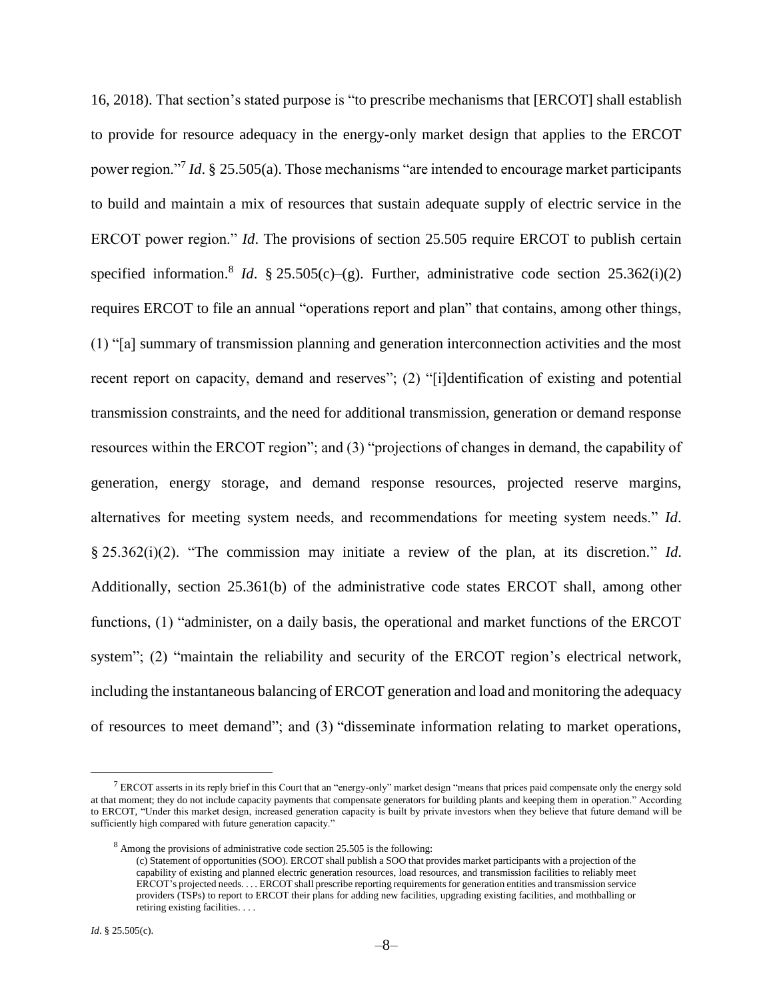16, 2018). That section's stated purpose is "to prescribe mechanisms that [ERCOT] shall establish to provide for resource adequacy in the energy-only market design that applies to the ERCOT power region."<sup>7</sup> *Id*. § 25.505(a). Those mechanisms "are intended to encourage market participants to build and maintain a mix of resources that sustain adequate supply of electric service in the ERCOT power region." *Id*. The provisions of section 25.505 require ERCOT to publish certain specified information.<sup>8</sup> *Id.* § 25.505(c)–(g). Further, administrative code section 25.362(i)(2) requires ERCOT to file an annual "operations report and plan" that contains, among other things, (1) "[a] summary of transmission planning and generation interconnection activities and the most recent report on capacity, demand and reserves"; (2) "[i]dentification of existing and potential transmission constraints, and the need for additional transmission, generation or demand response resources within the ERCOT region"; and (3) "projections of changes in demand, the capability of generation, energy storage, and demand response resources, projected reserve margins, alternatives for meeting system needs, and recommendations for meeting system needs." *Id*. § 25.362(i)(2). "The commission may initiate a review of the plan, at its discretion." *Id*. Additionally, section 25.361(b) of the administrative code states ERCOT shall, among other functions, (1) "administer, on a daily basis, the operational and market functions of the ERCOT system"; (2) "maintain the reliability and security of the ERCOT region's electrical network, including the instantaneous balancing of ERCOT generation and load and monitoring the adequacy of resources to meet demand"; and (3) "disseminate information relating to market operations,

 $\overline{a}$ 

 $<sup>7</sup>$  ERCOT asserts in its reply brief in this Court that an "energy-only" market design "means that prices paid compensate only the energy sold</sup> at that moment; they do not include capacity payments that compensate generators for building plants and keeping them in operation." According to ERCOT, "Under this market design, increased generation capacity is built by private investors when they believe that future demand will be sufficiently high compared with future generation capacity."

<sup>8</sup> Among the provisions of administrative code section 25.505 is the following:

<sup>(</sup>c) Statement of opportunities (SOO). ERCOT shall publish a SOO that provides market participants with a projection of the capability of existing and planned electric generation resources, load resources, and transmission facilities to reliably meet ERCOT's projected needs. . . . ERCOT shall prescribe reporting requirements for generation entities and transmission service providers (TSPs) to report to ERCOT their plans for adding new facilities, upgrading existing facilities, and mothballing or retiring existing facilities. . . .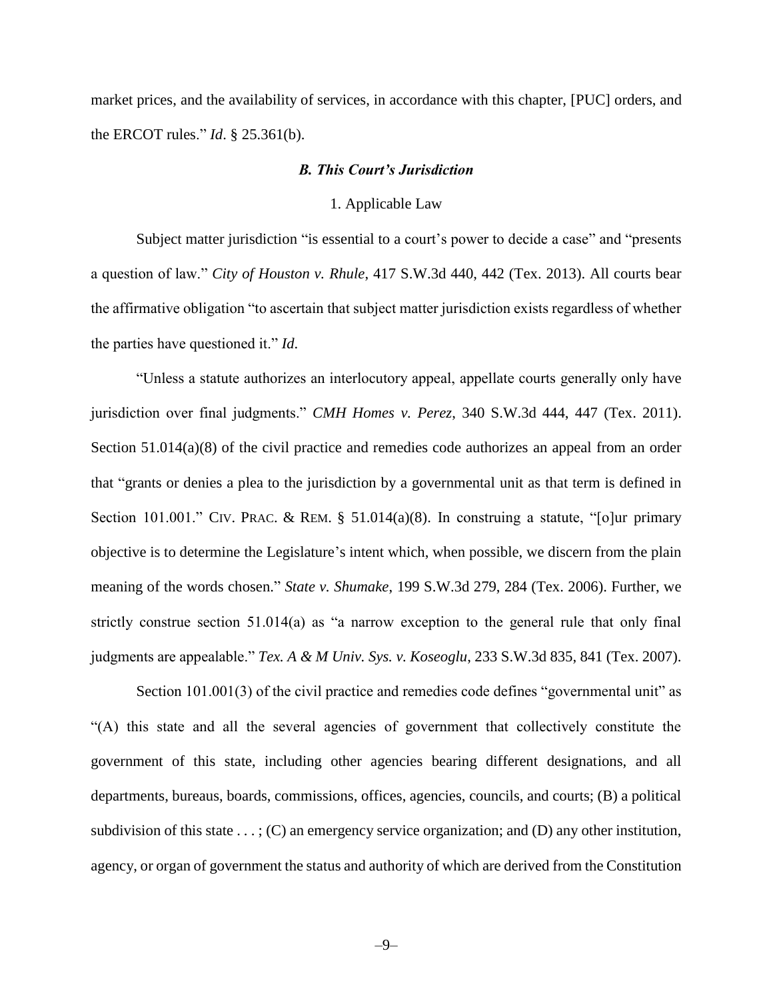market prices, and the availability of services, in accordance with this chapter, [PUC] orders, and the ERCOT rules." *Id*. § 25.361(b).

### *B. This Court's Jurisdiction*

#### 1. Applicable Law

Subject matter jurisdiction "is essential to a court's power to decide a case" and "presents a question of law." *City of Houston v. Rhule*, 417 S.W.3d 440, 442 (Tex. 2013). All courts bear the affirmative obligation "to ascertain that subject matter jurisdiction exists regardless of whether the parties have questioned it." *Id*.

"Unless a statute authorizes an interlocutory appeal, appellate courts generally only have jurisdiction over final judgments." *CMH Homes v. Perez*, 340 S.W.3d 444, 447 (Tex. 2011). Section 51.014(a)(8) of the civil practice and remedies code authorizes an appeal from an order that "grants or denies a plea to the jurisdiction by a governmental unit as that term is defined in Section 101.001." CIV. PRAC. & REM. § 51.014(a)(8). In construing a statute, "[o]ur primary objective is to determine the Legislature's intent which, when possible, we discern from the plain meaning of the words chosen." *State v. Shumake*, 199 S.W.3d 279, 284 (Tex. 2006). Further, we strictly construe section 51.014(a) as "a narrow exception to the general rule that only final judgments are appealable." *Tex. A & M Univ. Sys. v. Koseoglu*, 233 S.W.3d 835, 841 (Tex. 2007).

Section 101.001(3) of the civil practice and remedies code defines "governmental unit" as "(A) this state and all the several agencies of government that collectively constitute the government of this state, including other agencies bearing different designations, and all departments, bureaus, boards, commissions, offices, agencies, councils, and courts; (B) a political subdivision of this state  $\dots$ ; (C) an emergency service organization; and (D) any other institution, agency, or organ of government the status and authority of which are derived from the Constitution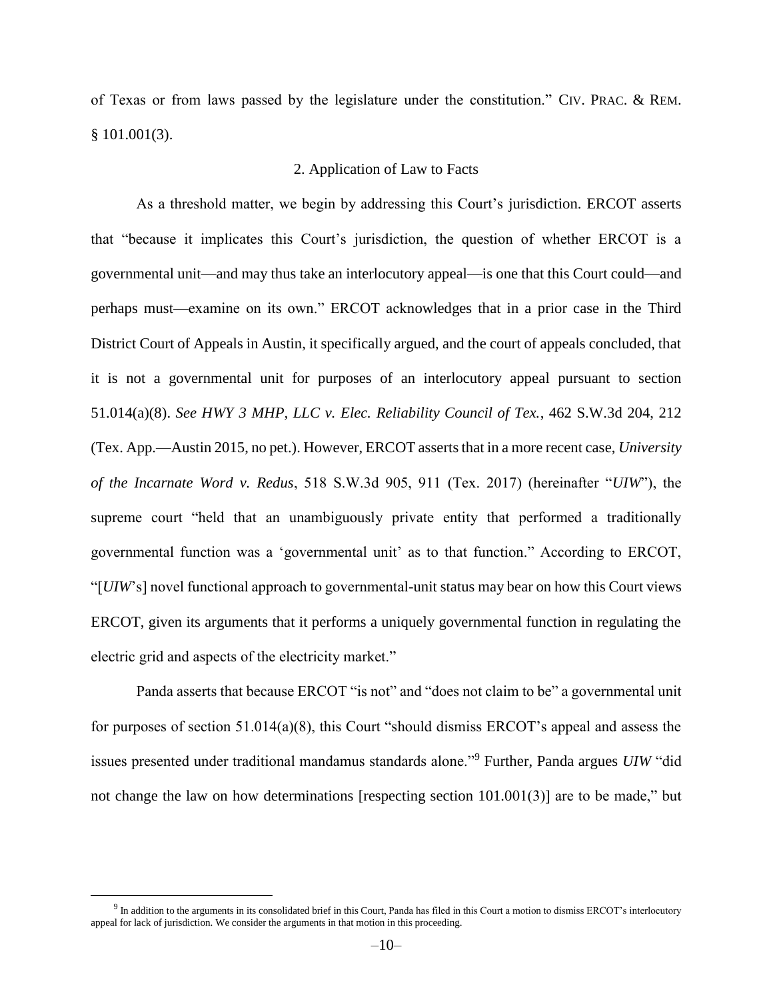of Texas or from laws passed by the legislature under the constitution." CIV. PRAC. & REM. § 101.001(3).

## 2. Application of Law to Facts

As a threshold matter, we begin by addressing this Court's jurisdiction. ERCOT asserts that "because it implicates this Court's jurisdiction, the question of whether ERCOT is a governmental unit—and may thus take an interlocutory appeal—is one that this Court could—and perhaps must—examine on its own." ERCOT acknowledges that in a prior case in the Third District Court of Appeals in Austin, it specifically argued, and the court of appeals concluded, that it is not a governmental unit for purposes of an interlocutory appeal pursuant to section 51.014(a)(8). *See HWY 3 MHP, LLC v. Elec. Reliability Council of Tex.*, 462 S.W.3d 204, 212 (Tex. App.—Austin 2015, no pet.). However, ERCOT asserts that in a more recent case, *University of the Incarnate Word v. Redus*, 518 S.W.3d 905, 911 (Tex. 2017) (hereinafter "*UIW*"), the supreme court "held that an unambiguously private entity that performed a traditionally governmental function was a 'governmental unit' as to that function." According to ERCOT, "[*UIW*'s] novel functional approach to governmental-unit status may bear on how this Court views ERCOT, given its arguments that it performs a uniquely governmental function in regulating the electric grid and aspects of the electricity market."

Panda asserts that because ERCOT "is not" and "does not claim to be" a governmental unit for purposes of section 51.014(a)(8), this Court "should dismiss ERCOT's appeal and assess the issues presented under traditional mandamus standards alone."<sup>9</sup> Further, Panda argues *UIW* "did not change the law on how determinations [respecting section 101.001(3)] are to be made," but

 $\overline{a}$ 

 $9$  In addition to the arguments in its consolidated brief in this Court, Panda has filed in this Court a motion to dismiss ERCOT's interlocutory appeal for lack of jurisdiction. We consider the arguments in that motion in this proceeding.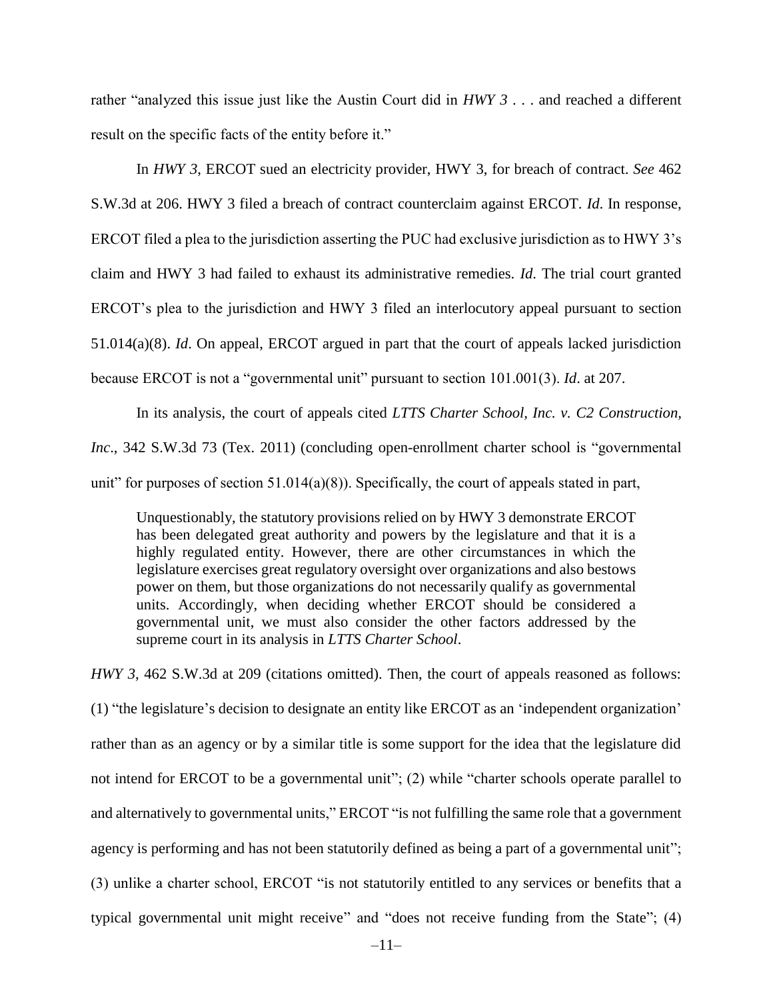rather "analyzed this issue just like the Austin Court did in *HWY 3* . . . and reached a different result on the specific facts of the entity before it."

In *HWY 3*, ERCOT sued an electricity provider, HWY 3, for breach of contract. *See* 462 S.W.3d at 206. HWY 3 filed a breach of contract counterclaim against ERCOT. *Id*. In response, ERCOT filed a plea to the jurisdiction asserting the PUC had exclusive jurisdiction as to HWY 3's claim and HWY 3 had failed to exhaust its administrative remedies. *Id*. The trial court granted ERCOT's plea to the jurisdiction and HWY 3 filed an interlocutory appeal pursuant to section 51.014(a)(8). *Id*. On appeal, ERCOT argued in part that the court of appeals lacked jurisdiction because ERCOT is not a "governmental unit" pursuant to section 101.001(3). *Id*. at 207.

In its analysis, the court of appeals cited *LTTS Charter School, Inc. v. C2 Construction, Inc*., 342 S.W.3d 73 (Tex. 2011) (concluding open-enrollment charter school is "governmental unit" for purposes of section 51.014(a)(8)). Specifically, the court of appeals stated in part,

Unquestionably, the statutory provisions relied on by HWY 3 demonstrate ERCOT has been delegated great authority and powers by the legislature and that it is a highly regulated entity. However, there are other circumstances in which the legislature exercises great regulatory oversight over organizations and also bestows power on them, but those organizations do not necessarily qualify as governmental units. Accordingly, when deciding whether ERCOT should be considered a governmental unit, we must also consider the other factors addressed by the supreme court in its analysis in *LTTS Charter School*.

*HWY 3*, 462 S.W.3d at 209 (citations omitted). Then, the court of appeals reasoned as follows: (1) "the legislature's decision to designate an entity like ERCOT as an 'independent organization' rather than as an agency or by a similar title is some support for the idea that the legislature did not intend for ERCOT to be a governmental unit"; (2) while "charter schools operate parallel to and alternatively to governmental units," ERCOT "is not fulfilling the same role that a government agency is performing and has not been statutorily defined as being a part of a governmental unit"; (3) unlike a charter school, ERCOT "is not statutorily entitled to any services or benefits that a typical governmental unit might receive" and "does not receive funding from the State"; (4)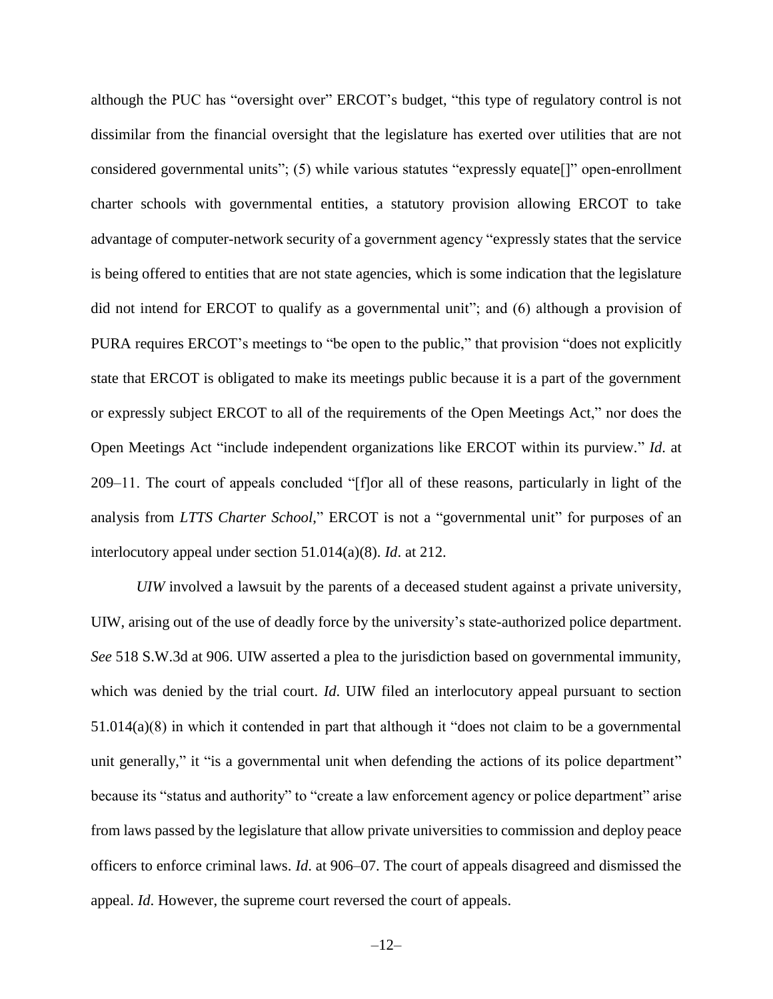although the PUC has "oversight over" ERCOT's budget, "this type of regulatory control is not dissimilar from the financial oversight that the legislature has exerted over utilities that are not considered governmental units"; (5) while various statutes "expressly equate[]" open-enrollment charter schools with governmental entities, a statutory provision allowing ERCOT to take advantage of computer-network security of a government agency "expressly states that the service is being offered to entities that are not state agencies, which is some indication that the legislature did not intend for ERCOT to qualify as a governmental unit"; and (6) although a provision of PURA requires ERCOT's meetings to "be open to the public," that provision "does not explicitly state that ERCOT is obligated to make its meetings public because it is a part of the government or expressly subject ERCOT to all of the requirements of the Open Meetings Act," nor does the Open Meetings Act "include independent organizations like ERCOT within its purview." *Id*. at 209–11. The court of appeals concluded "[f]or all of these reasons, particularly in light of the analysis from *LTTS Charter School*," ERCOT is not a "governmental unit" for purposes of an interlocutory appeal under section 51.014(a)(8). *Id*. at 212.

*UIW* involved a lawsuit by the parents of a deceased student against a private university, UIW, arising out of the use of deadly force by the university's state-authorized police department. *See* 518 S.W.3d at 906. UIW asserted a plea to the jurisdiction based on governmental immunity, which was denied by the trial court. *Id*. UIW filed an interlocutory appeal pursuant to section  $51.014(a)(8)$  in which it contended in part that although it "does not claim to be a governmental unit generally," it "is a governmental unit when defending the actions of its police department" because its "status and authority" to "create a law enforcement agency or police department" arise from laws passed by the legislature that allow private universities to commission and deploy peace officers to enforce criminal laws. *Id*. at 906–07. The court of appeals disagreed and dismissed the appeal. *Id*. However, the supreme court reversed the court of appeals.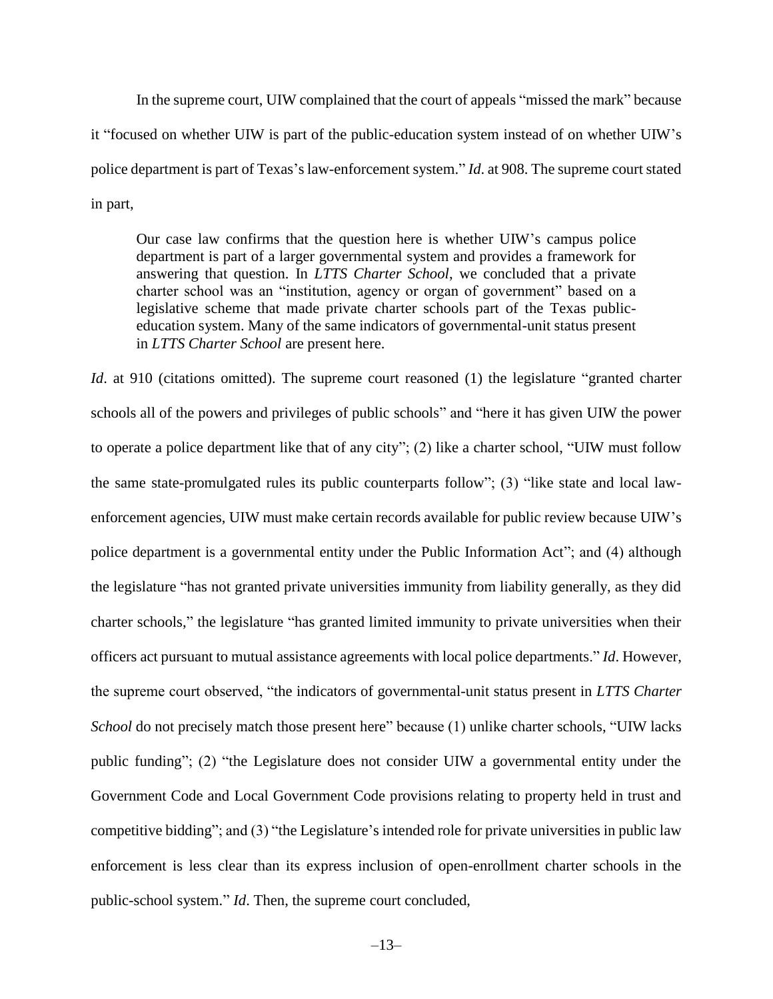In the supreme court, UIW complained that the court of appeals "missed the mark" because it "focused on whether UIW is part of the public-education system instead of on whether UIW's police department is part of Texas's law-enforcement system." *Id*. at 908. The supreme court stated in part,

Our case law confirms that the question here is whether UIW's campus police department is part of a larger governmental system and provides a framework for answering that question. In *LTTS Charter School*, we concluded that a private charter school was an "institution, agency or organ of government" based on a legislative scheme that made private charter schools part of the Texas publiceducation system. Many of the same indicators of governmental-unit status present in *LTTS Charter School* are present here.

*Id.* at 910 (citations omitted). The supreme court reasoned (1) the legislature "granted charter schools all of the powers and privileges of public schools" and "here it has given UIW the power to operate a police department like that of any city"; (2) like a charter school, "UIW must follow the same state-promulgated rules its public counterparts follow"; (3) "like state and local lawenforcement agencies, UIW must make certain records available for public review because UIW's police department is a governmental entity under the Public Information Act"; and (4) although the legislature "has not granted private universities immunity from liability generally, as they did charter schools," the legislature "has granted limited immunity to private universities when their officers act pursuant to mutual assistance agreements with local police departments." *Id*. However, the supreme court observed, "the indicators of governmental-unit status present in *LTTS Charter School* do not precisely match those present here" because (1) unlike charter schools, "UIW lacks public funding"; (2) "the Legislature does not consider UIW a governmental entity under the Government Code and Local Government Code provisions relating to property held in trust and competitive bidding"; and (3) "the Legislature's intended role for private universities in public law enforcement is less clear than its express inclusion of open-enrollment charter schools in the public-school system." *Id*. Then, the supreme court concluded,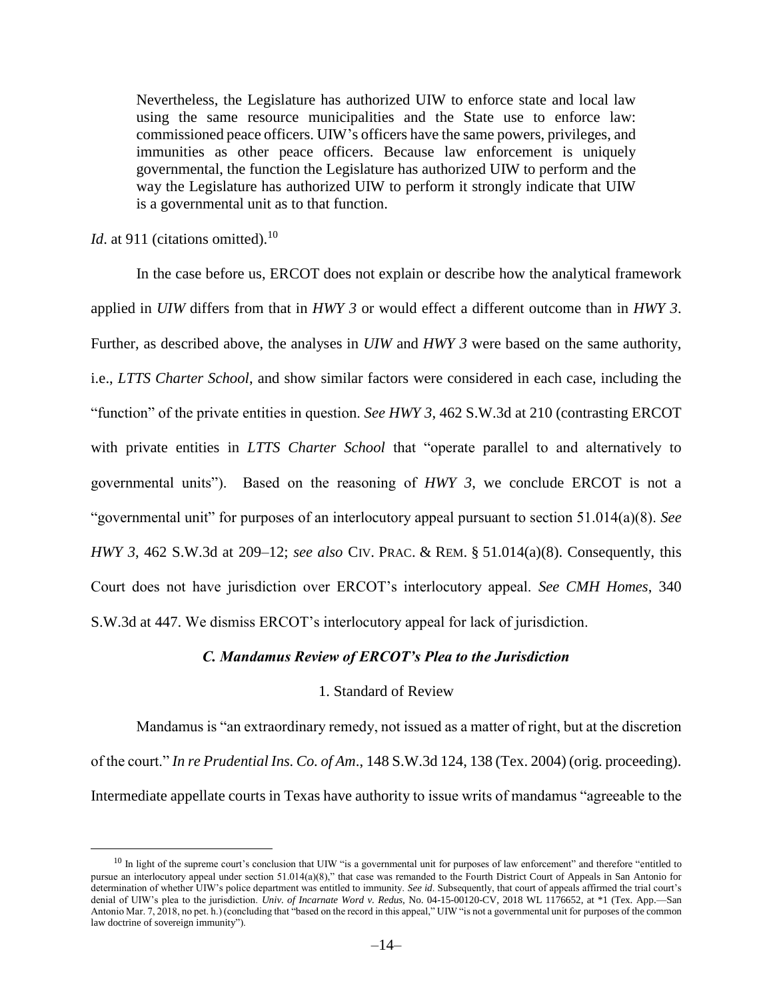Nevertheless, the Legislature has authorized UIW to enforce state and local law using the same resource municipalities and the State use to enforce law: commissioned peace officers. UIW's officers have the same powers, privileges, and immunities as other peace officers. Because law enforcement is uniquely governmental, the function the Legislature has authorized UIW to perform and the way the Legislature has authorized UIW to perform it strongly indicate that UIW is a governmental unit as to that function.

*Id.* at 911 (citations omitted).<sup>10</sup>

 $\overline{a}$ 

In the case before us, ERCOT does not explain or describe how the analytical framework applied in *UIW* differs from that in *HWY 3* or would effect a different outcome than in *HWY 3*. Further, as described above, the analyses in *UIW* and *HWY 3* were based on the same authority, i.e., *LTTS Charter School*, and show similar factors were considered in each case, including the "function" of the private entities in question. *See HWY 3*, 462 S.W.3d at 210 (contrasting ERCOT with private entities in *LTTS Charter School* that "operate parallel to and alternatively to governmental units"). Based on the reasoning of *HWY 3*, we conclude ERCOT is not a "governmental unit" for purposes of an interlocutory appeal pursuant to section 51.014(a)(8). *See HWY 3*, 462 S.W.3d at 209–12; *see also* CIV. PRAC. & REM. § 51.014(a)(8). Consequently, this Court does not have jurisdiction over ERCOT's interlocutory appeal. *See CMH Homes*, 340 S.W.3d at 447. We dismiss ERCOT's interlocutory appeal for lack of jurisdiction.

## *C. Mandamus Review of ERCOT's Plea to the Jurisdiction*

#### 1. Standard of Review

Mandamus is "an extraordinary remedy, not issued as a matter of right, but at the discretion of the court." *In re Prudential Ins. Co. of Am*., 148 S.W.3d 124, 138 (Tex. 2004) (orig. proceeding). Intermediate appellate courts in Texas have authority to issue writs of mandamus "agreeable to the

 $10$  In light of the supreme court's conclusion that UIW "is a governmental unit for purposes of law enforcement" and therefore "entitled to pursue an interlocutory appeal under section 51.014(a)(8)," that case was remanded to the Fourth District Court of Appeals in San Antonio for determination of whether UIW's police department was entitled to immunity. *See id*. Subsequently, that court of appeals affirmed the trial court's denial of UIW's plea to the jurisdiction. *Univ. of Incarnate Word v. Redus*, No. 04-15-00120-CV, 2018 WL 1176652, at \*1 (Tex. App.—San Antonio Mar. 7, 2018, no pet. h.) (concluding that "based on the record in this appeal," UIW "is not a governmental unit for purposes of the common law doctrine of sovereign immunity").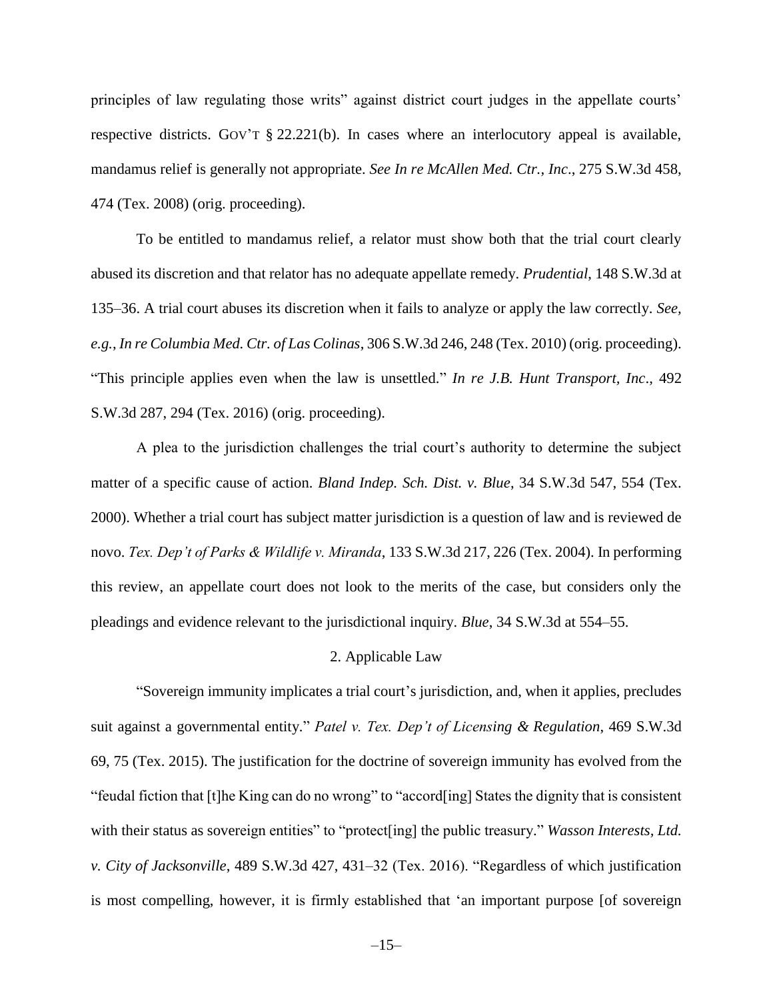principles of law regulating those writs" against district court judges in the appellate courts' respective districts. GOV'T § 22.221(b). In cases where an interlocutory appeal is available, mandamus relief is generally not appropriate. *See In re McAllen Med. Ctr., Inc*., 275 S.W.3d 458, 474 (Tex. 2008) (orig. proceeding).

To be entitled to mandamus relief, a relator must show both that the trial court clearly abused its discretion and that relator has no adequate appellate remedy. *Prudential*, 148 S.W.3d at 135–36. A trial court abuses its discretion when it fails to analyze or apply the law correctly. *See, e.g.*, *In re Columbia Med. Ctr. of Las Colinas*, 306 S.W.3d 246, 248 (Tex. 2010) (orig. proceeding). "This principle applies even when the law is unsettled." *In re J.B. Hunt Transport, Inc*., 492 S.W.3d 287, 294 (Tex. 2016) (orig. proceeding).

A plea to the jurisdiction challenges the trial court's authority to determine the subject matter of a specific cause of action. *Bland Indep. Sch. Dist. v. Blue*, 34 S.W.3d 547, 554 (Tex. 2000). Whether a trial court has subject matter jurisdiction is a question of law and is reviewed de novo. *Tex. Dep't of Parks & Wildlife v. Miranda*, 133 S.W.3d 217, 226 (Tex. 2004). In performing this review, an appellate court does not look to the merits of the case, but considers only the pleadings and evidence relevant to the jurisdictional inquiry. *Blue*, 34 S.W.3d at 554–55.

#### 2. Applicable Law

"Sovereign immunity implicates a trial court's jurisdiction, and, when it applies, precludes suit against a governmental entity." *Patel v. Tex. Dep't of Licensing & Regulation*, 469 S.W.3d 69, 75 (Tex. 2015). The justification for the doctrine of sovereign immunity has evolved from the "feudal fiction that [t]he King can do no wrong" to "accord[ing] States the dignity that is consistent with their status as sovereign entities" to "protect<sup>[ing]</sup> the public treasury." *Wasson Interests, Ltd. v. City of Jacksonville*, 489 S.W.3d 427, 431–32 (Tex. 2016). "Regardless of which justification is most compelling, however, it is firmly established that 'an important purpose [of sovereign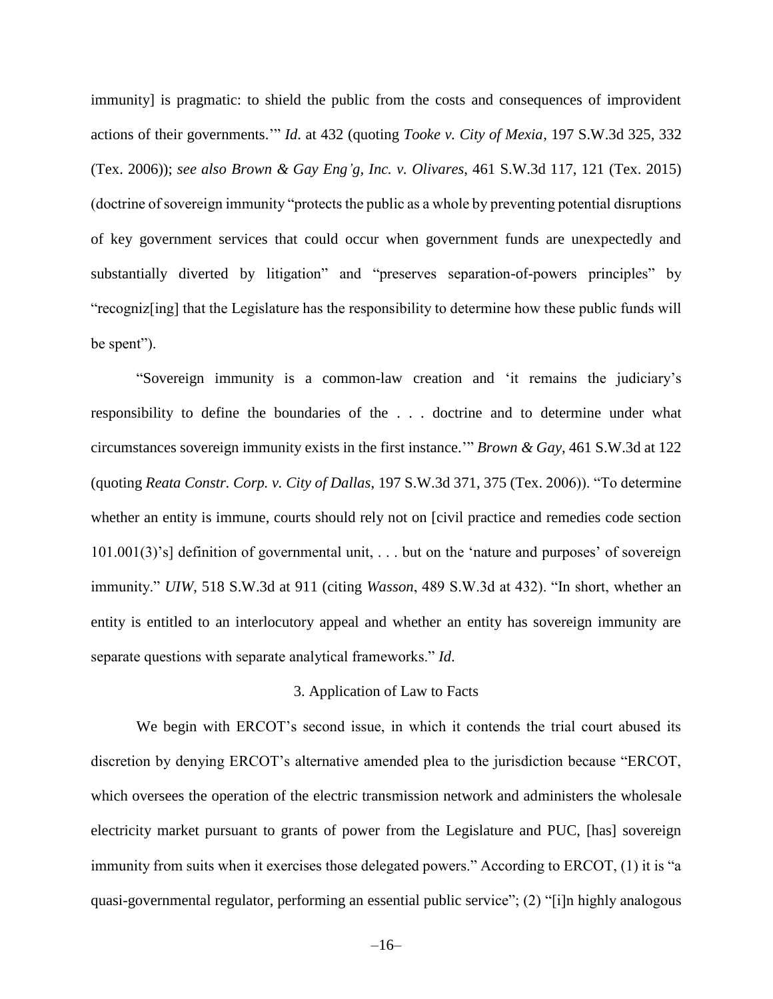immunity] is pragmatic: to shield the public from the costs and consequences of improvident actions of their governments.'" *Id*. at 432 (quoting *Tooke v. City of Mexia*, 197 S.W.3d 325, 332 (Tex. 2006)); *see also Brown & Gay Eng'g, Inc. v. Olivares*, 461 S.W.3d 117, 121 (Tex. 2015) (doctrine of sovereign immunity "protects the public as a whole by preventing potential disruptions of key government services that could occur when government funds are unexpectedly and substantially diverted by litigation" and "preserves separation-of-powers principles" by "recogniz[ing] that the Legislature has the responsibility to determine how these public funds will be spent").

"Sovereign immunity is a common-law creation and 'it remains the judiciary's responsibility to define the boundaries of the . . . doctrine and to determine under what circumstances sovereign immunity exists in the first instance.'" *Brown & Gay*, 461 S.W.3d at 122 (quoting *Reata Constr. Corp. v. City of Dallas*, 197 S.W.3d 371, 375 (Tex. 2006)). "To determine whether an entity is immune, courts should rely not on [civil practice and remedies code section 101.001(3)'s] definition of governmental unit, . . . but on the 'nature and purposes' of sovereign immunity." *UIW*, 518 S.W.3d at 911 (citing *Wasson*, 489 S.W.3d at 432). "In short, whether an entity is entitled to an interlocutory appeal and whether an entity has sovereign immunity are separate questions with separate analytical frameworks." *Id*.

#### 3. Application of Law to Facts

We begin with ERCOT's second issue, in which it contends the trial court abused its discretion by denying ERCOT's alternative amended plea to the jurisdiction because "ERCOT, which oversees the operation of the electric transmission network and administers the wholesale electricity market pursuant to grants of power from the Legislature and PUC, [has] sovereign immunity from suits when it exercises those delegated powers." According to ERCOT, (1) it is "a quasi-governmental regulator, performing an essential public service"; (2) "[i]n highly analogous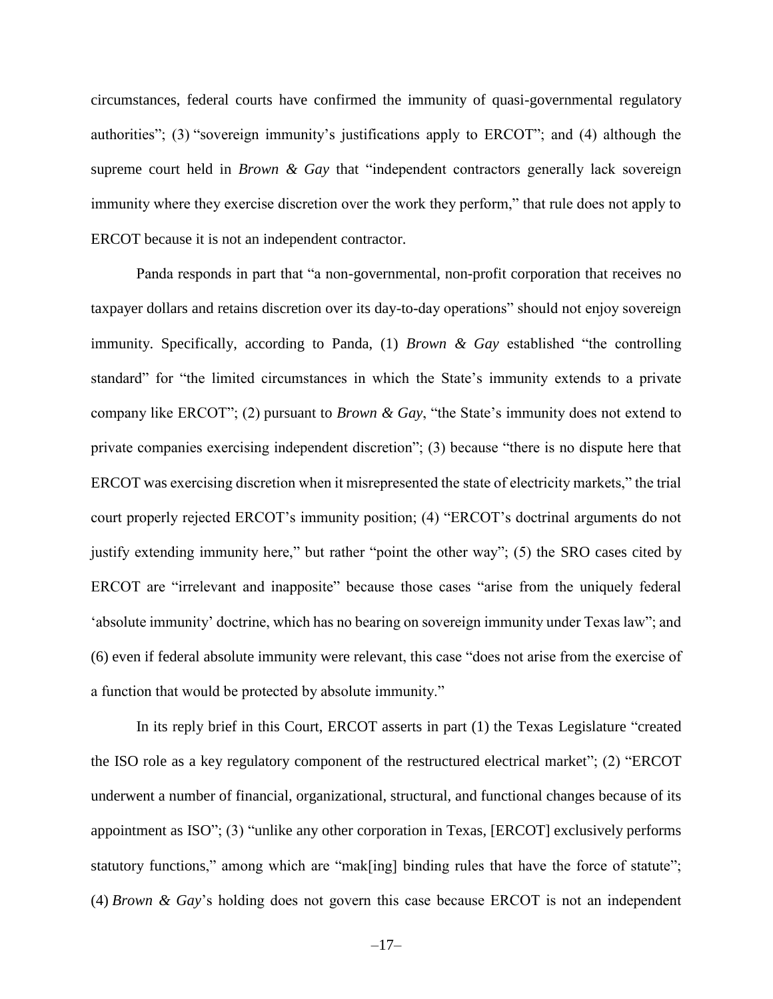circumstances, federal courts have confirmed the immunity of quasi-governmental regulatory authorities"; (3) "sovereign immunity's justifications apply to ERCOT"; and (4) although the supreme court held in *Brown & Gay* that "independent contractors generally lack sovereign immunity where they exercise discretion over the work they perform," that rule does not apply to ERCOT because it is not an independent contractor.

Panda responds in part that "a non-governmental, non-profit corporation that receives no taxpayer dollars and retains discretion over its day-to-day operations" should not enjoy sovereign immunity. Specifically, according to Panda, (1) *Brown & Gay* established "the controlling standard" for "the limited circumstances in which the State's immunity extends to a private company like ERCOT"; (2) pursuant to *Brown & Gay*, "the State's immunity does not extend to private companies exercising independent discretion"; (3) because "there is no dispute here that ERCOT was exercising discretion when it misrepresented the state of electricity markets," the trial court properly rejected ERCOT's immunity position; (4) "ERCOT's doctrinal arguments do not justify extending immunity here," but rather "point the other way"; (5) the SRO cases cited by ERCOT are "irrelevant and inapposite" because those cases "arise from the uniquely federal 'absolute immunity' doctrine, which has no bearing on sovereign immunity under Texas law"; and (6) even if federal absolute immunity were relevant, this case "does not arise from the exercise of a function that would be protected by absolute immunity."

In its reply brief in this Court, ERCOT asserts in part (1) the Texas Legislature "created the ISO role as a key regulatory component of the restructured electrical market"; (2) "ERCOT underwent a number of financial, organizational, structural, and functional changes because of its appointment as ISO"; (3) "unlike any other corporation in Texas, [ERCOT] exclusively performs statutory functions," among which are "mak[ing] binding rules that have the force of statute"; (4) *Brown & Gay*'s holding does not govern this case because ERCOT is not an independent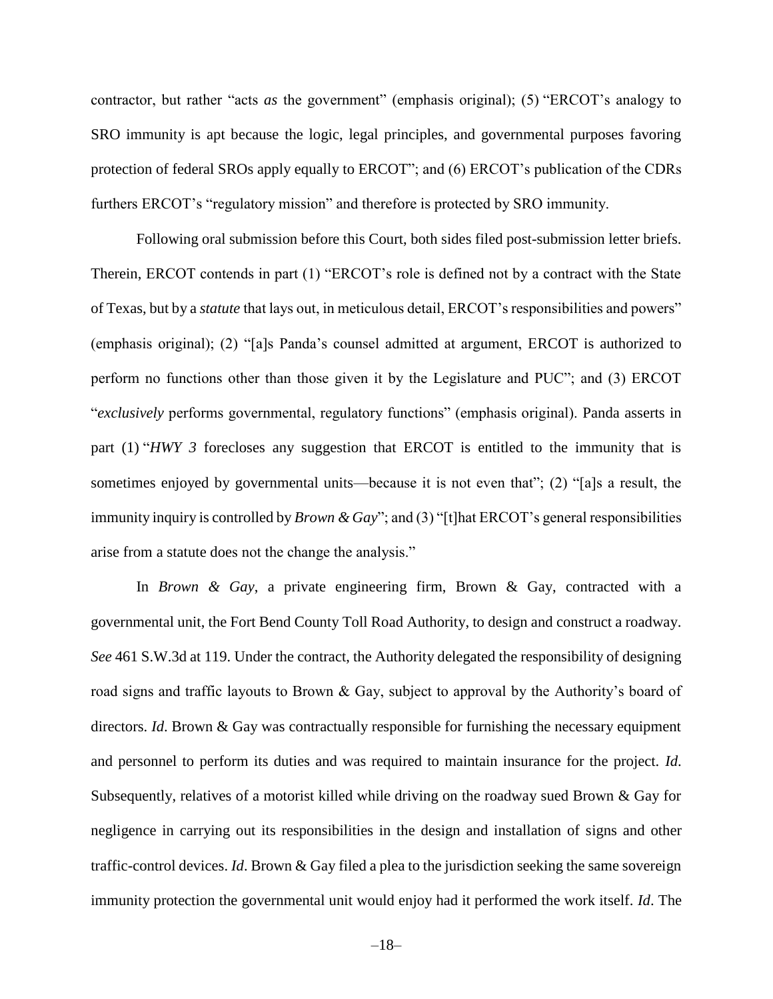contractor, but rather "acts *as* the government" (emphasis original); (5) "ERCOT's analogy to SRO immunity is apt because the logic, legal principles, and governmental purposes favoring protection of federal SROs apply equally to ERCOT"; and (6) ERCOT's publication of the CDRs furthers ERCOT's "regulatory mission" and therefore is protected by SRO immunity.

Following oral submission before this Court, both sides filed post-submission letter briefs. Therein, ERCOT contends in part (1) "ERCOT's role is defined not by a contract with the State of Texas, but by a *statute* that lays out, in meticulous detail, ERCOT's responsibilities and powers" (emphasis original); (2) "[a]s Panda's counsel admitted at argument, ERCOT is authorized to perform no functions other than those given it by the Legislature and PUC"; and (3) ERCOT "*exclusively* performs governmental, regulatory functions" (emphasis original). Panda asserts in part (1) "*HWY 3* forecloses any suggestion that ERCOT is entitled to the immunity that is sometimes enjoyed by governmental units—because it is not even that"; (2) "[a]s a result, the immunity inquiry is controlled by *Brown & Gay*"; and (3) "[t]hat ERCOT's general responsibilities arise from a statute does not the change the analysis."

In *Brown & Gay*, a private engineering firm, Brown & Gay, contracted with a governmental unit, the Fort Bend County Toll Road Authority, to design and construct a roadway. *See* 461 S.W.3d at 119. Under the contract, the Authority delegated the responsibility of designing road signs and traffic layouts to Brown & Gay, subject to approval by the Authority's board of directors. *Id*. Brown & Gay was contractually responsible for furnishing the necessary equipment and personnel to perform its duties and was required to maintain insurance for the project. *Id*. Subsequently, relatives of a motorist killed while driving on the roadway sued Brown & Gay for negligence in carrying out its responsibilities in the design and installation of signs and other traffic-control devices. *Id*. Brown & Gay filed a plea to the jurisdiction seeking the same sovereign immunity protection the governmental unit would enjoy had it performed the work itself. *Id*. The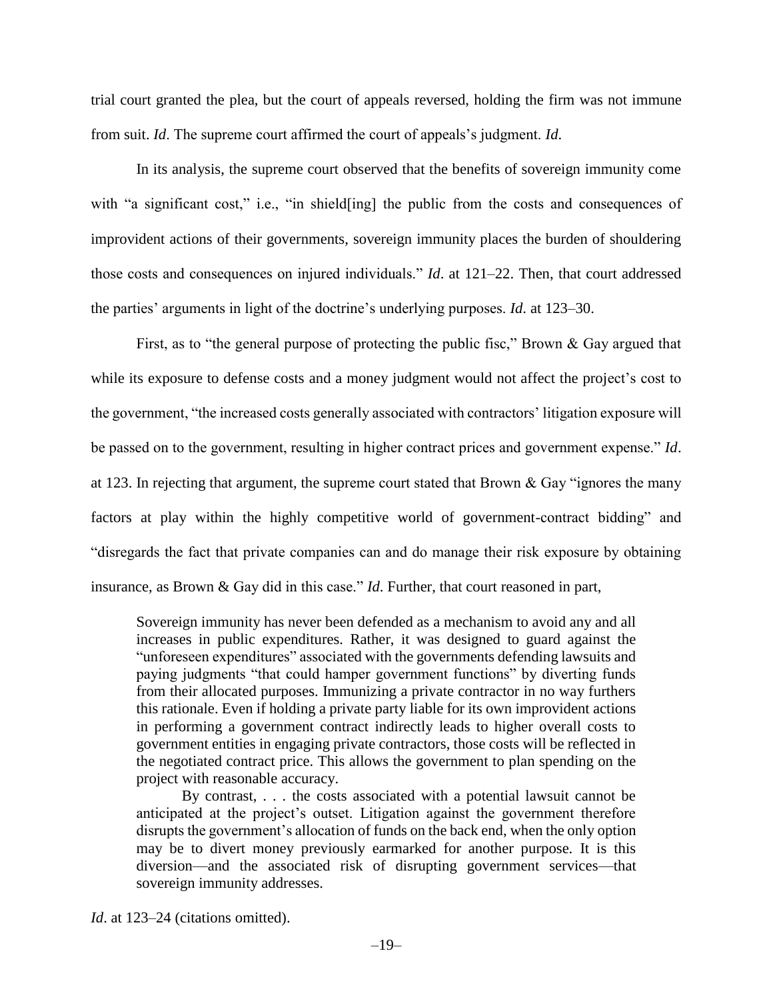trial court granted the plea, but the court of appeals reversed, holding the firm was not immune from suit. *Id*. The supreme court affirmed the court of appeals's judgment. *Id*.

In its analysis, the supreme court observed that the benefits of sovereign immunity come with "a significant cost," i.e., "in shield[ing] the public from the costs and consequences of improvident actions of their governments, sovereign immunity places the burden of shouldering those costs and consequences on injured individuals." *Id*. at 121–22. Then, that court addressed the parties' arguments in light of the doctrine's underlying purposes. *Id*. at 123–30.

First, as to "the general purpose of protecting the public fisc," Brown & Gay argued that while its exposure to defense costs and a money judgment would not affect the project's cost to the government, "the increased costs generally associated with contractors' litigation exposure will be passed on to the government, resulting in higher contract prices and government expense." *Id*. at 123. In rejecting that argument, the supreme court stated that Brown & Gay "ignores the many factors at play within the highly competitive world of government-contract bidding" and "disregards the fact that private companies can and do manage their risk exposure by obtaining insurance, as Brown & Gay did in this case." *Id*. Further, that court reasoned in part,

Sovereign immunity has never been defended as a mechanism to avoid any and all increases in public expenditures. Rather, it was designed to guard against the "unforeseen expenditures" associated with the governments defending lawsuits and paying judgments "that could hamper government functions" by diverting funds from their allocated purposes. Immunizing a private contractor in no way furthers this rationale. Even if holding a private party liable for its own improvident actions in performing a government contract indirectly leads to higher overall costs to government entities in engaging private contractors, those costs will be reflected in the negotiated contract price. This allows the government to plan spending on the project with reasonable accuracy.

By contrast, . . . the costs associated with a potential lawsuit cannot be anticipated at the project's outset. Litigation against the government therefore disrupts the government's allocation of funds on the back end, when the only option may be to divert money previously earmarked for another purpose. It is this diversion—and the associated risk of disrupting government services—that sovereign immunity addresses.

*Id.* at 123–24 (citations omitted).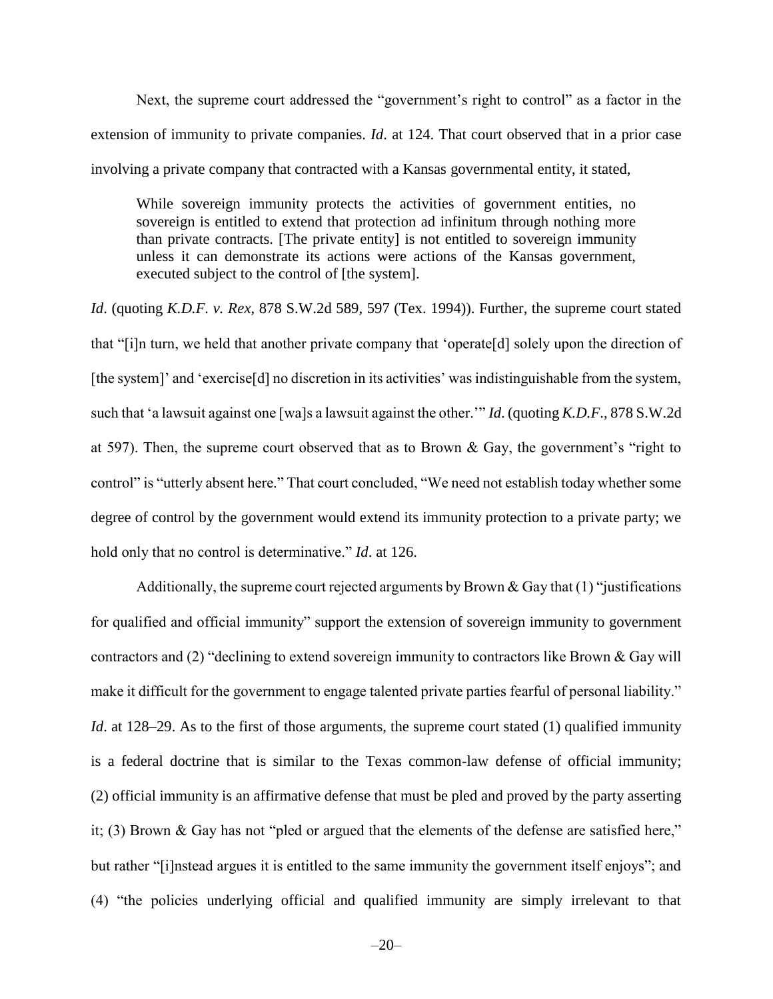Next, the supreme court addressed the "government's right to control" as a factor in the extension of immunity to private companies. *Id*. at 124. That court observed that in a prior case involving a private company that contracted with a Kansas governmental entity, it stated,

While sovereign immunity protects the activities of government entities, no sovereign is entitled to extend that protection ad infinitum through nothing more than private contracts. [The private entity] is not entitled to sovereign immunity unless it can demonstrate its actions were actions of the Kansas government, executed subject to the control of [the system].

*Id*. (quoting *K.D.F. v. Rex*, 878 S.W.2d 589, 597 (Tex. 1994)). Further, the supreme court stated that "[i]n turn, we held that another private company that 'operate[d] solely upon the direction of [the system]' and 'exercise<sup>[d]</sup> no discretion in its activities' was indistinguishable from the system, such that 'a lawsuit against one [wa]s a lawsuit against the other.'" *Id*. (quoting *K.D.F*., 878 S.W.2d at 597). Then, the supreme court observed that as to Brown & Gay, the government's "right to control" is "utterly absent here." That court concluded, "We need not establish today whether some degree of control by the government would extend its immunity protection to a private party; we hold only that no control is determinative." *Id*. at 126.

Additionally, the supreme court rejected arguments by Brown & Gay that  $(1)$  "justifications" for qualified and official immunity" support the extension of sovereign immunity to government contractors and (2) "declining to extend sovereign immunity to contractors like Brown & Gay will make it difficult for the government to engage talented private parties fearful of personal liability." *Id.* at 128–29. As to the first of those arguments, the supreme court stated (1) qualified immunity is a federal doctrine that is similar to the Texas common-law defense of official immunity; (2) official immunity is an affirmative defense that must be pled and proved by the party asserting it; (3) Brown & Gay has not "pled or argued that the elements of the defense are satisfied here," but rather "[i]nstead argues it is entitled to the same immunity the government itself enjoys"; and (4) "the policies underlying official and qualified immunity are simply irrelevant to that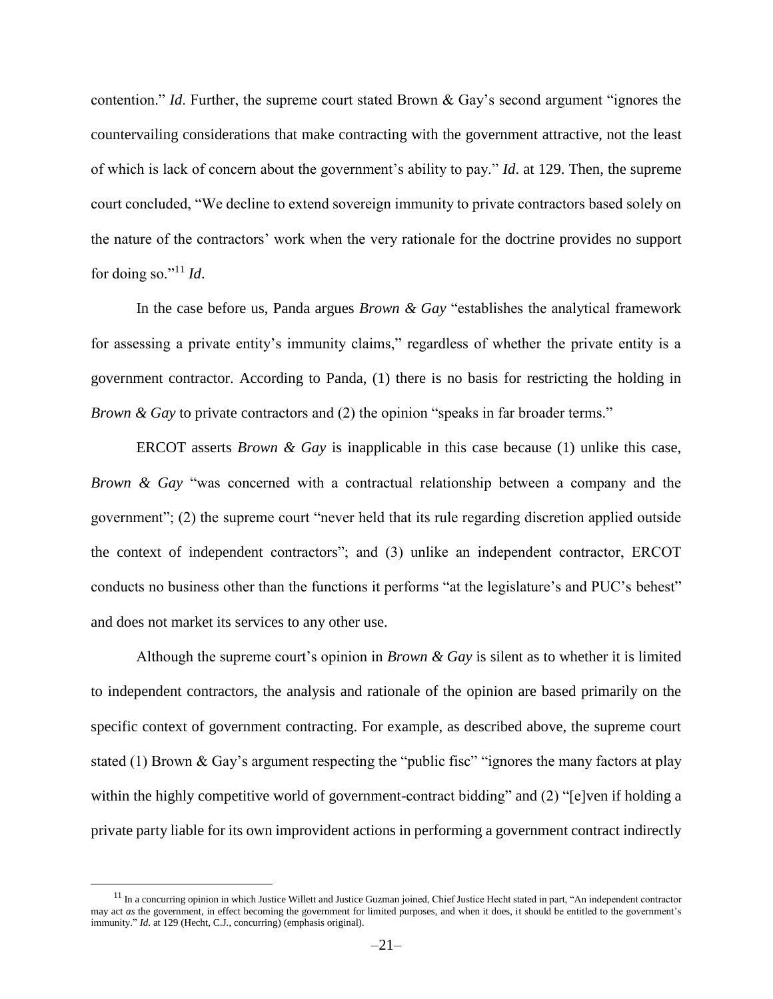contention." *Id*. Further, the supreme court stated Brown & Gay's second argument "ignores the countervailing considerations that make contracting with the government attractive, not the least of which is lack of concern about the government's ability to pay." *Id*. at 129. Then, the supreme court concluded, "We decline to extend sovereign immunity to private contractors based solely on the nature of the contractors' work when the very rationale for the doctrine provides no support for doing so."<sup>11</sup> *Id*.

In the case before us, Panda argues *Brown & Gay* "establishes the analytical framework for assessing a private entity's immunity claims," regardless of whether the private entity is a government contractor. According to Panda, (1) there is no basis for restricting the holding in *Brown & Gay* to private contractors and (2) the opinion "speaks in far broader terms."

ERCOT asserts *Brown & Gay* is inapplicable in this case because (1) unlike this case, *Brown & Gay* "was concerned with a contractual relationship between a company and the government"; (2) the supreme court "never held that its rule regarding discretion applied outside the context of independent contractors"; and (3) unlike an independent contractor, ERCOT conducts no business other than the functions it performs "at the legislature's and PUC's behest" and does not market its services to any other use.

Although the supreme court's opinion in *Brown & Gay* is silent as to whether it is limited to independent contractors, the analysis and rationale of the opinion are based primarily on the specific context of government contracting. For example, as described above, the supreme court stated (1) Brown & Gay's argument respecting the "public fisc" "ignores the many factors at play within the highly competitive world of government-contract bidding" and (2) "[e]ven if holding a private party liable for its own improvident actions in performing a government contract indirectly

 $\overline{a}$ 

<sup>&</sup>lt;sup>11</sup> In a concurring opinion in which Justice Willett and Justice Guzman joined, Chief Justice Hecht stated in part, "An independent contractor may act *as* the government, in effect becoming the government for limited purposes, and when it does, it should be entitled to the government's immunity." *Id*. at 129 (Hecht, C.J., concurring) (emphasis original).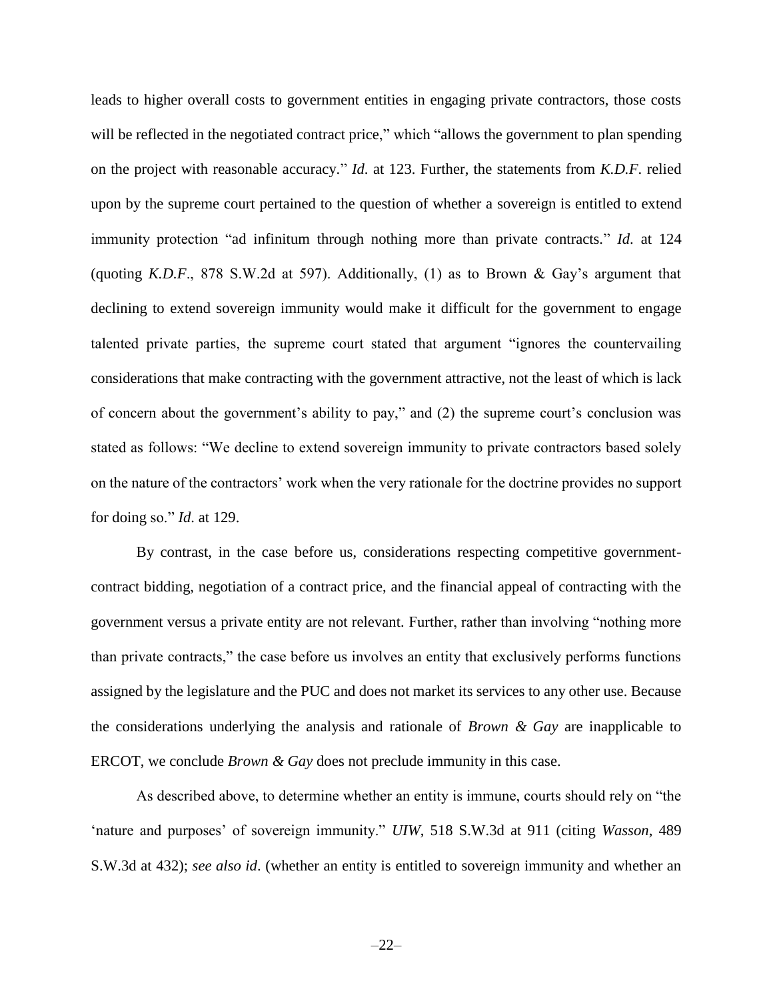leads to higher overall costs to government entities in engaging private contractors, those costs will be reflected in the negotiated contract price," which "allows the government to plan spending on the project with reasonable accuracy." *Id*. at 123. Further, the statements from *K.D.F*. relied upon by the supreme court pertained to the question of whether a sovereign is entitled to extend immunity protection "ad infinitum through nothing more than private contracts." *Id*. at 124 (quoting *K.D.F*., 878 S.W.2d at 597). Additionally, (1) as to Brown & Gay's argument that declining to extend sovereign immunity would make it difficult for the government to engage talented private parties, the supreme court stated that argument "ignores the countervailing considerations that make contracting with the government attractive, not the least of which is lack of concern about the government's ability to pay," and (2) the supreme court's conclusion was stated as follows: "We decline to extend sovereign immunity to private contractors based solely on the nature of the contractors' work when the very rationale for the doctrine provides no support for doing so." *Id*. at 129.

By contrast, in the case before us, considerations respecting competitive governmentcontract bidding, negotiation of a contract price, and the financial appeal of contracting with the government versus a private entity are not relevant. Further, rather than involving "nothing more than private contracts," the case before us involves an entity that exclusively performs functions assigned by the legislature and the PUC and does not market its services to any other use. Because the considerations underlying the analysis and rationale of *Brown & Gay* are inapplicable to ERCOT, we conclude *Brown & Gay* does not preclude immunity in this case.

As described above, to determine whether an entity is immune, courts should rely on "the 'nature and purposes' of sovereign immunity." *UIW*, 518 S.W.3d at 911 (citing *Wasson*, 489 S.W.3d at 432); *see also id*. (whether an entity is entitled to sovereign immunity and whether an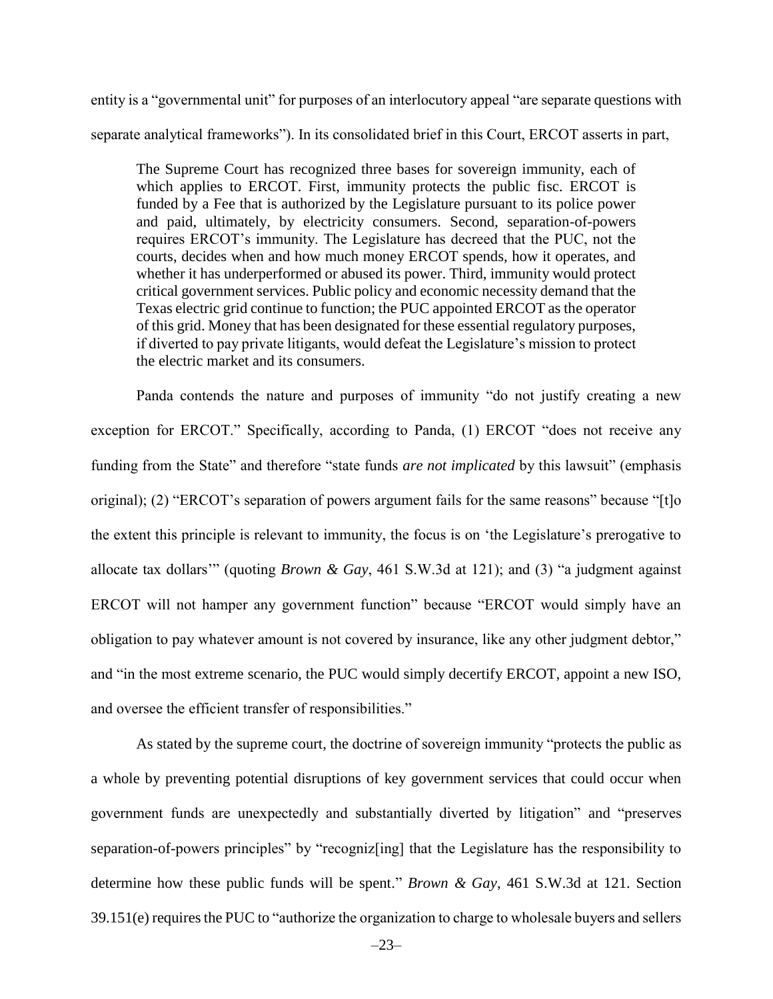entity is a "governmental unit" for purposes of an interlocutory appeal "are separate questions with separate analytical frameworks"). In its consolidated brief in this Court, ERCOT asserts in part,

The Supreme Court has recognized three bases for sovereign immunity, each of which applies to ERCOT. First, immunity protects the public fisc. ERCOT is funded by a Fee that is authorized by the Legislature pursuant to its police power and paid, ultimately, by electricity consumers. Second, separation-of-powers requires ERCOT's immunity. The Legislature has decreed that the PUC, not the courts, decides when and how much money ERCOT spends, how it operates, and whether it has underperformed or abused its power. Third, immunity would protect critical government services. Public policy and economic necessity demand that the Texas electric grid continue to function; the PUC appointed ERCOT as the operator of this grid. Money that has been designated for these essential regulatory purposes, if diverted to pay private litigants, would defeat the Legislature's mission to protect the electric market and its consumers.

Panda contends the nature and purposes of immunity "do not justify creating a new exception for ERCOT." Specifically, according to Panda, (1) ERCOT "does not receive any funding from the State" and therefore "state funds *are not implicated* by this lawsuit" (emphasis original); (2) "ERCOT's separation of powers argument fails for the same reasons" because "[t]o the extent this principle is relevant to immunity, the focus is on 'the Legislature's prerogative to allocate tax dollars'" (quoting *Brown & Gay*, 461 S.W.3d at 121); and (3) "a judgment against ERCOT will not hamper any government function" because "ERCOT would simply have an obligation to pay whatever amount is not covered by insurance, like any other judgment debtor," and "in the most extreme scenario, the PUC would simply decertify ERCOT, appoint a new ISO, and oversee the efficient transfer of responsibilities."

As stated by the supreme court, the doctrine of sovereign immunity "protects the public as a whole by preventing potential disruptions of key government services that could occur when government funds are unexpectedly and substantially diverted by litigation" and "preserves separation-of-powers principles" by "recogniz[ing] that the Legislature has the responsibility to determine how these public funds will be spent." *Brown & Gay*, 461 S.W.3d at 121. Section 39.151(e) requires the PUC to "authorize the organization to charge to wholesale buyers and sellers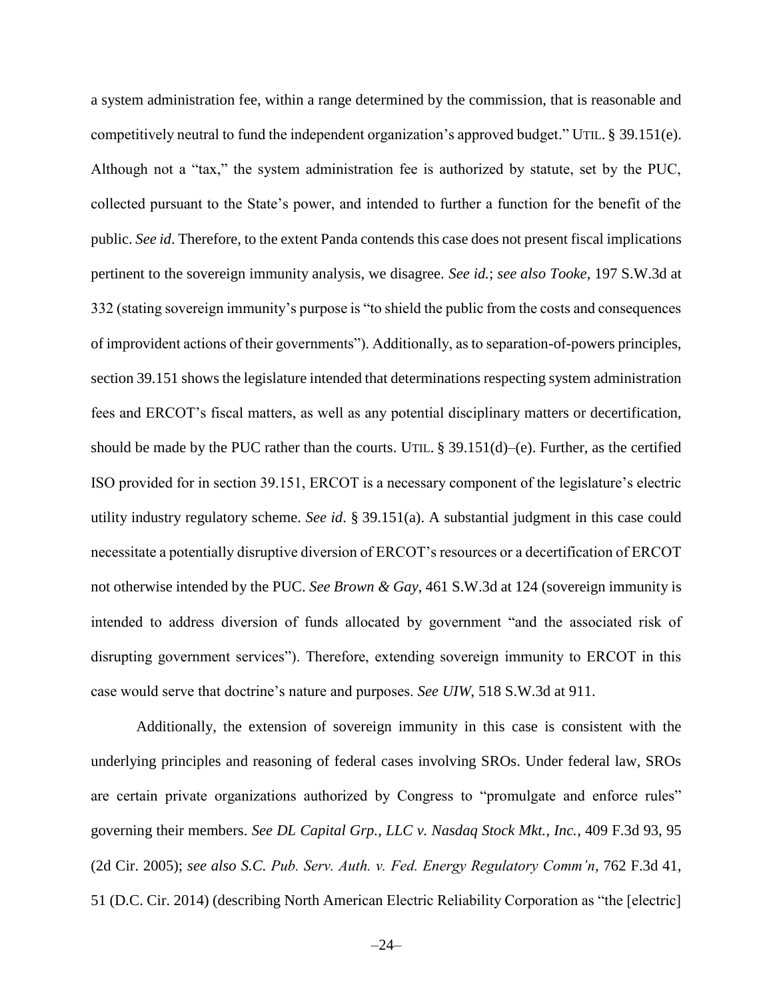a system administration fee, within a range determined by the commission, that is reasonable and competitively neutral to fund the independent organization's approved budget." UTIL. § 39.151(e). Although not a "tax," the system administration fee is authorized by statute, set by the PUC, collected pursuant to the State's power, and intended to further a function for the benefit of the public. *See id*. Therefore, to the extent Panda contends this case does not present fiscal implications pertinent to the sovereign immunity analysis, we disagree. *See id.*; *see also Tooke*, 197 S.W.3d at 332 (stating sovereign immunity's purpose is "to shield the public from the costs and consequences of improvident actions of their governments"). Additionally, as to separation-of-powers principles, section 39.151 shows the legislature intended that determinations respecting system administration fees and ERCOT's fiscal matters, as well as any potential disciplinary matters or decertification, should be made by the PUC rather than the courts. UTIL.  $\S 39.151(d)$ –(e). Further, as the certified ISO provided for in section 39.151, ERCOT is a necessary component of the legislature's electric utility industry regulatory scheme. *See id*. § 39.151(a). A substantial judgment in this case could necessitate a potentially disruptive diversion of ERCOT's resources or a decertification of ERCOT not otherwise intended by the PUC. *See Brown & Gay*, 461 S.W.3d at 124 (sovereign immunity is intended to address diversion of funds allocated by government "and the associated risk of disrupting government services"). Therefore, extending sovereign immunity to ERCOT in this case would serve that doctrine's nature and purposes. *See UIW*, 518 S.W.3d at 911.

Additionally, the extension of sovereign immunity in this case is consistent with the underlying principles and reasoning of federal cases involving SROs. Under federal law, SROs are certain private organizations authorized by Congress to "promulgate and enforce rules" governing their members. *See DL Capital Grp., LLC v. Nasdaq Stock Mkt., Inc.*, 409 F.3d 93, 95 (2d Cir. 2005); *see also S.C. Pub. Serv. Auth. v. Fed. Energy Regulatory Comm'n*, 762 F.3d 41, 51 (D.C. Cir. 2014) (describing North American Electric Reliability Corporation as "the [electric]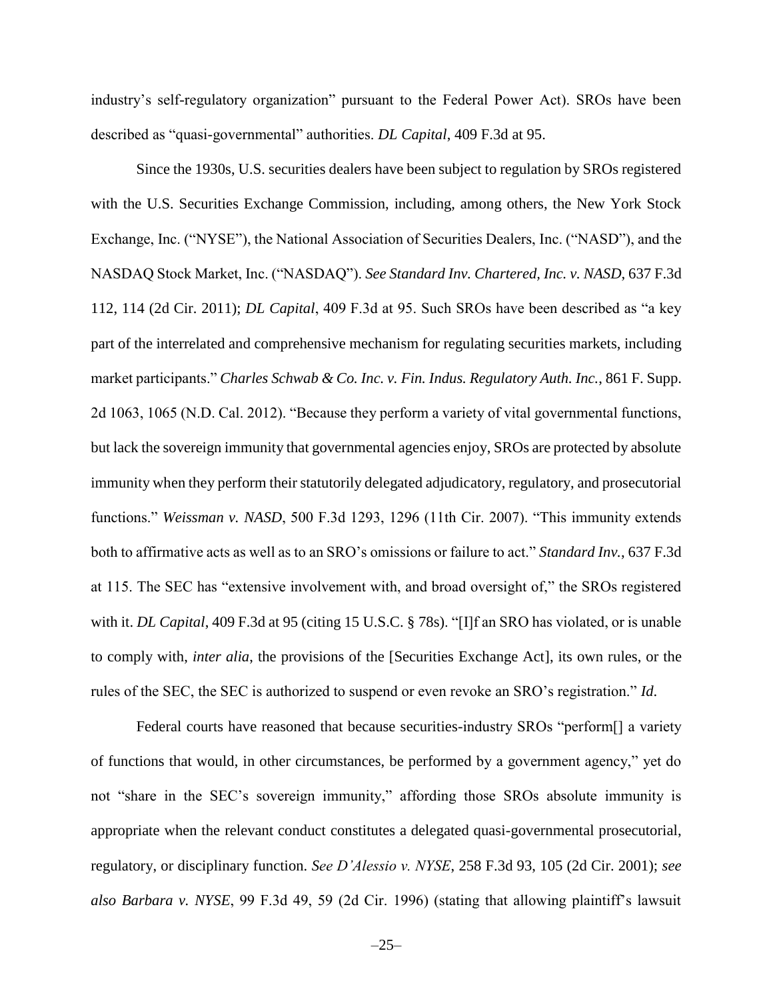industry's self-regulatory organization" pursuant to the Federal Power Act). SROs have been described as "quasi-governmental" authorities. *DL Capital*, 409 F.3d at 95.

Since the 1930s, U.S. securities dealers have been subject to regulation by SROs registered with the U.S. Securities Exchange Commission, including, among others, the New York Stock Exchange, Inc. ("NYSE"), the National Association of Securities Dealers, Inc. ("NASD"), and the NASDAQ Stock Market, Inc. ("NASDAQ"). *See Standard Inv. Chartered, Inc. v. NASD*, 637 F.3d 112, 114 (2d Cir. 2011); *DL Capital*, 409 F.3d at 95. Such SROs have been described as "a key part of the interrelated and comprehensive mechanism for regulating securities markets, including market participants." *Charles Schwab & Co. Inc. v. Fin. Indus. Regulatory Auth. Inc.*, 861 F. Supp. 2d 1063, 1065 (N.D. Cal. 2012). "Because they perform a variety of vital governmental functions, but lack the sovereign immunity that governmental agencies enjoy, SROs are protected by absolute immunity when they perform their statutorily delegated adjudicatory, regulatory, and prosecutorial functions." *Weissman v. NASD*, 500 F.3d 1293, 1296 (11th Cir. 2007). "This immunity extends both to affirmative acts as well as to an SRO's omissions or failure to act." *Standard Inv.*, 637 F.3d at 115. The SEC has "extensive involvement with, and broad oversight of," the SROs registered with it. *DL Capital*, 409 F.3d at 95 (citing 15 U.S.C. § 78s). "[I]f an SRO has violated, or is unable to comply with, *inter alia*, the provisions of the [Securities Exchange Act], its own rules, or the rules of the SEC, the SEC is authorized to suspend or even revoke an SRO's registration." *Id*.

Federal courts have reasoned that because securities-industry SROs "perform[] a variety of functions that would, in other circumstances, be performed by a government agency," yet do not "share in the SEC's sovereign immunity," affording those SROs absolute immunity is appropriate when the relevant conduct constitutes a delegated quasi-governmental prosecutorial, regulatory, or disciplinary function. *See D'Alessio v. NYSE*, 258 F.3d 93, 105 (2d Cir. 2001); *see also Barbara v. NYSE*, 99 F.3d 49, 59 (2d Cir. 1996) (stating that allowing plaintiff's lawsuit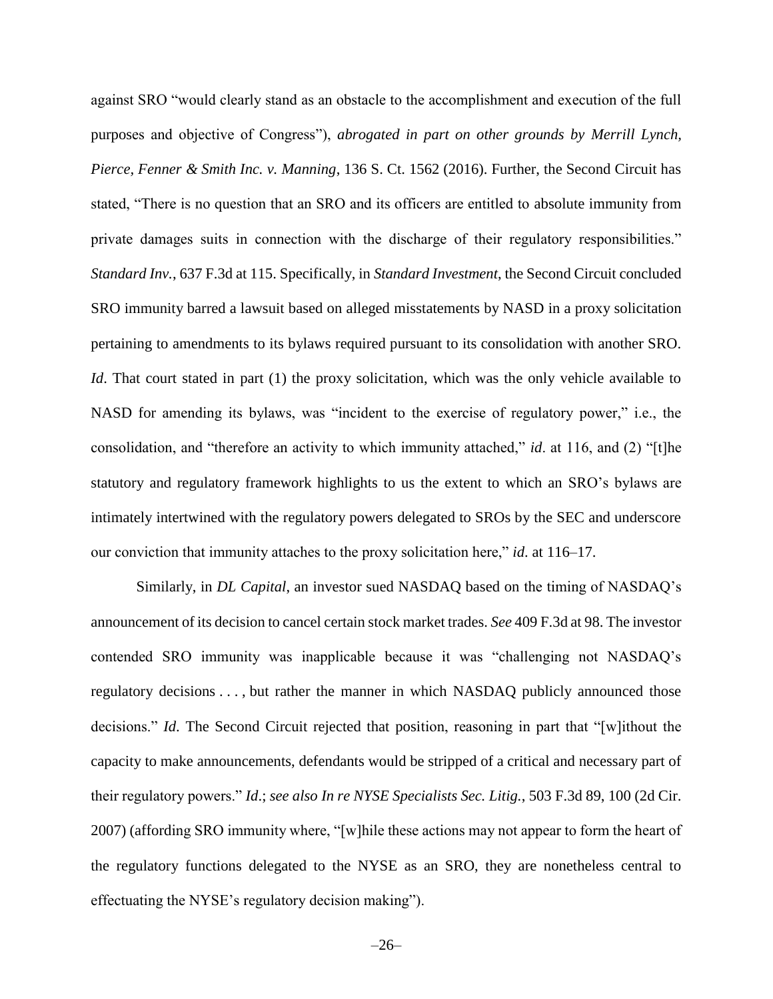against SRO "would clearly stand as an obstacle to the accomplishment and execution of the full purposes and objective of Congress"), *abrogated in part on other grounds by Merrill Lynch, Pierce, Fenner & Smith Inc. v. Manning*, 136 S. Ct. 1562 (2016). Further, the Second Circuit has stated, "There is no question that an SRO and its officers are entitled to absolute immunity from private damages suits in connection with the discharge of their regulatory responsibilities." *Standard Inv.*, 637 F.3d at 115. Specifically, in *Standard Investment*, the Second Circuit concluded SRO immunity barred a lawsuit based on alleged misstatements by NASD in a proxy solicitation pertaining to amendments to its bylaws required pursuant to its consolidation with another SRO. *Id*. That court stated in part (1) the proxy solicitation, which was the only vehicle available to NASD for amending its bylaws, was "incident to the exercise of regulatory power," i.e., the consolidation, and "therefore an activity to which immunity attached," *id*. at 116, and (2) "[t]he statutory and regulatory framework highlights to us the extent to which an SRO's bylaws are intimately intertwined with the regulatory powers delegated to SROs by the SEC and underscore our conviction that immunity attaches to the proxy solicitation here," *id*. at 116–17.

Similarly, in *DL Capital*, an investor sued NASDAQ based on the timing of NASDAQ's announcement of its decision to cancel certain stock market trades. *See* 409 F.3d at 98. The investor contended SRO immunity was inapplicable because it was "challenging not NASDAQ's regulatory decisions . . . , but rather the manner in which NASDAQ publicly announced those decisions." *Id*. The Second Circuit rejected that position, reasoning in part that "[w]ithout the capacity to make announcements, defendants would be stripped of a critical and necessary part of their regulatory powers." *Id*.; *see also In re NYSE Specialists Sec. Litig.*, 503 F.3d 89, 100 (2d Cir. 2007) (affording SRO immunity where, "[w]hile these actions may not appear to form the heart of the regulatory functions delegated to the NYSE as an SRO, they are nonetheless central to effectuating the NYSE's regulatory decision making").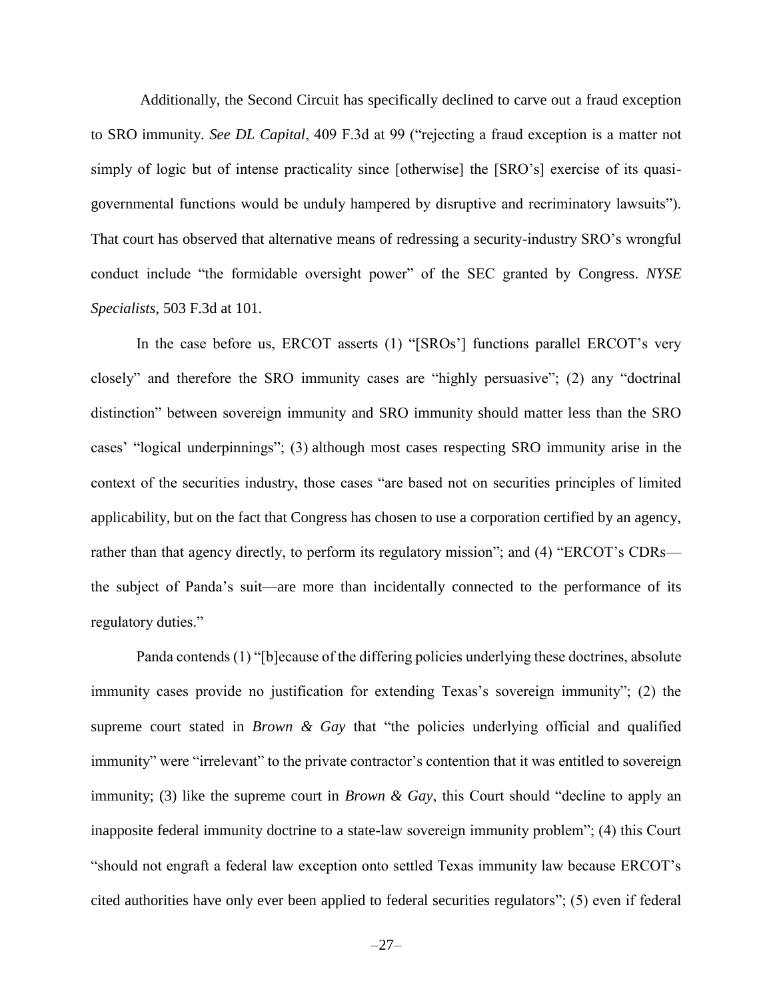Additionally, the Second Circuit has specifically declined to carve out a fraud exception to SRO immunity. *See DL Capital*, 409 F.3d at 99 ("rejecting a fraud exception is a matter not simply of logic but of intense practicality since [otherwise] the [SRO's] exercise of its quasigovernmental functions would be unduly hampered by disruptive and recriminatory lawsuits"). That court has observed that alternative means of redressing a security-industry SRO's wrongful conduct include "the formidable oversight power" of the SEC granted by Congress. *NYSE Specialists*, 503 F.3d at 101.

In the case before us, ERCOT asserts (1) "[SROs'] functions parallel ERCOT's very closely" and therefore the SRO immunity cases are "highly persuasive"; (2) any "doctrinal distinction" between sovereign immunity and SRO immunity should matter less than the SRO cases' "logical underpinnings"; (3) although most cases respecting SRO immunity arise in the context of the securities industry, those cases "are based not on securities principles of limited applicability, but on the fact that Congress has chosen to use a corporation certified by an agency, rather than that agency directly, to perform its regulatory mission"; and (4) "ERCOT's CDRs the subject of Panda's suit—are more than incidentally connected to the performance of its regulatory duties."

Panda contends (1) "[b]ecause of the differing policies underlying these doctrines, absolute immunity cases provide no justification for extending Texas's sovereign immunity"; (2) the supreme court stated in *Brown & Gay* that "the policies underlying official and qualified immunity" were "irrelevant" to the private contractor's contention that it was entitled to sovereign immunity; (3) like the supreme court in *Brown & Gay*, this Court should "decline to apply an inapposite federal immunity doctrine to a state-law sovereign immunity problem"; (4) this Court "should not engraft a federal law exception onto settled Texas immunity law because ERCOT's cited authorities have only ever been applied to federal securities regulators"; (5) even if federal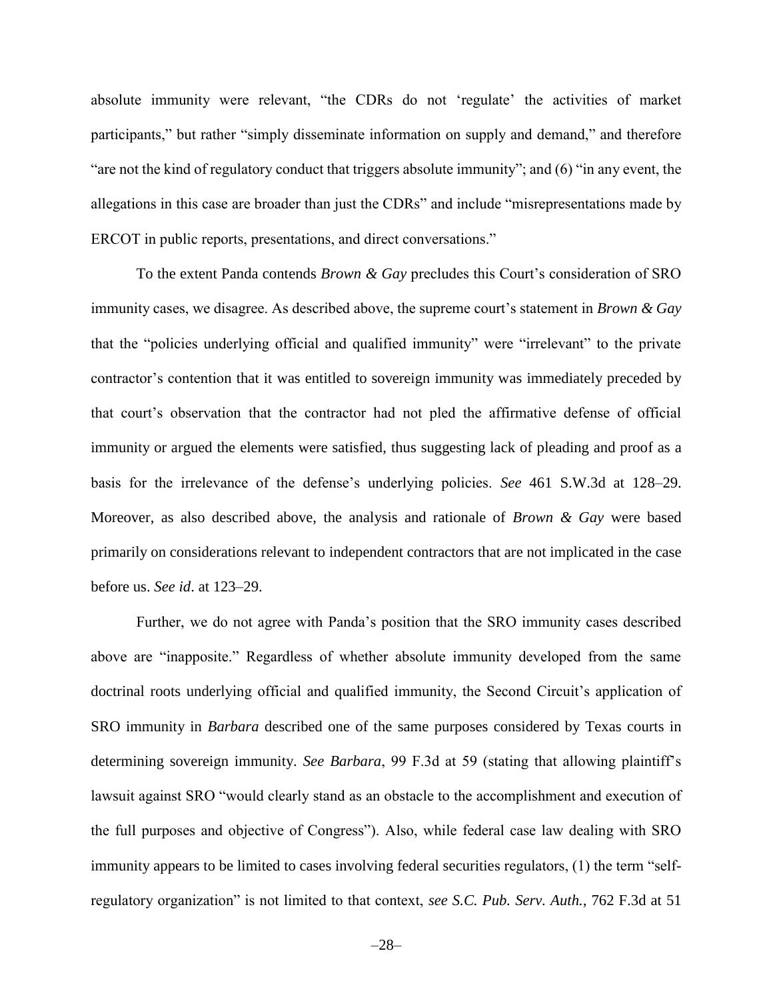absolute immunity were relevant, "the CDRs do not 'regulate' the activities of market participants," but rather "simply disseminate information on supply and demand," and therefore "are not the kind of regulatory conduct that triggers absolute immunity"; and (6) "in any event, the allegations in this case are broader than just the CDRs" and include "misrepresentations made by ERCOT in public reports, presentations, and direct conversations."

To the extent Panda contends *Brown & Gay* precludes this Court's consideration of SRO immunity cases, we disagree. As described above, the supreme court's statement in *Brown & Gay* that the "policies underlying official and qualified immunity" were "irrelevant" to the private contractor's contention that it was entitled to sovereign immunity was immediately preceded by that court's observation that the contractor had not pled the affirmative defense of official immunity or argued the elements were satisfied, thus suggesting lack of pleading and proof as a basis for the irrelevance of the defense's underlying policies. *See* 461 S.W.3d at 128–29. Moreover, as also described above, the analysis and rationale of *Brown & Gay* were based primarily on considerations relevant to independent contractors that are not implicated in the case before us. *See id*. at 123–29.

Further, we do not agree with Panda's position that the SRO immunity cases described above are "inapposite." Regardless of whether absolute immunity developed from the same doctrinal roots underlying official and qualified immunity, the Second Circuit's application of SRO immunity in *Barbara* described one of the same purposes considered by Texas courts in determining sovereign immunity. *See Barbara*, 99 F.3d at 59 (stating that allowing plaintiff's lawsuit against SRO "would clearly stand as an obstacle to the accomplishment and execution of the full purposes and objective of Congress"). Also, while federal case law dealing with SRO immunity appears to be limited to cases involving federal securities regulators, (1) the term "selfregulatory organization" is not limited to that context, *see S.C. Pub. Serv. Auth.*, 762 F.3d at 51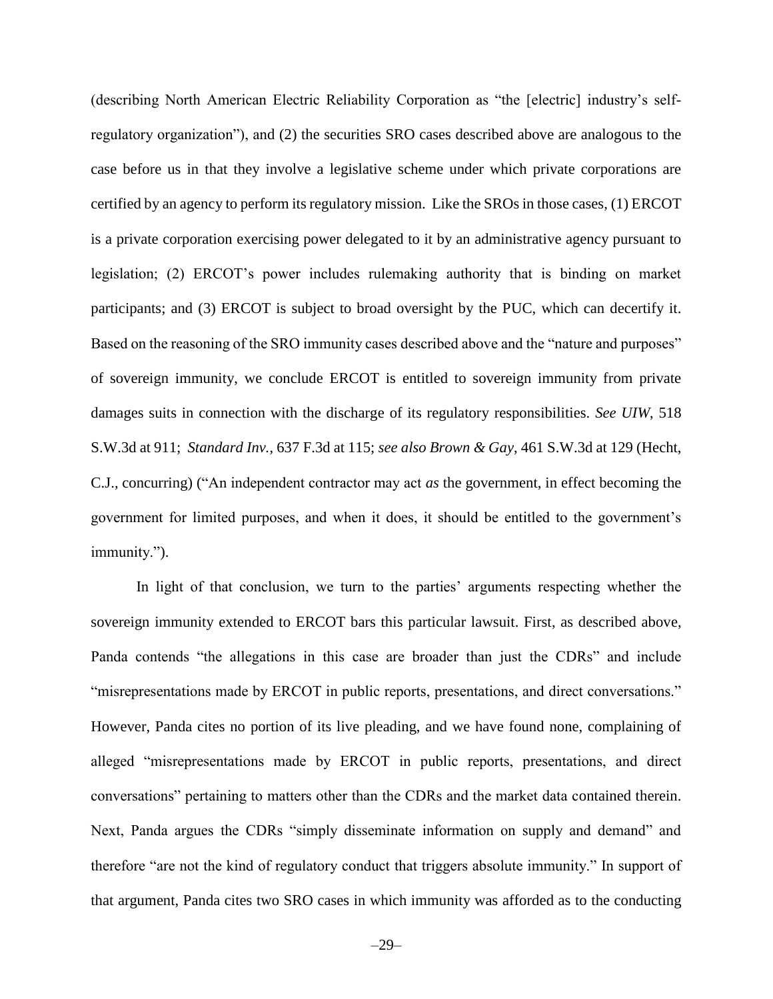(describing North American Electric Reliability Corporation as "the [electric] industry's selfregulatory organization"), and (2) the securities SRO cases described above are analogous to the case before us in that they involve a legislative scheme under which private corporations are certified by an agency to perform its regulatory mission. Like the SROs in those cases, (1) ERCOT is a private corporation exercising power delegated to it by an administrative agency pursuant to legislation; (2) ERCOT's power includes rulemaking authority that is binding on market participants; and (3) ERCOT is subject to broad oversight by the PUC, which can decertify it. Based on the reasoning of the SRO immunity cases described above and the "nature and purposes" of sovereign immunity, we conclude ERCOT is entitled to sovereign immunity from private damages suits in connection with the discharge of its regulatory responsibilities. *See UIW*, 518 S.W.3d at 911; *Standard Inv.*, 637 F.3d at 115; *see also Brown & Gay*, 461 S.W.3d at 129 (Hecht, C.J., concurring) ("An independent contractor may act *as* the government, in effect becoming the government for limited purposes, and when it does, it should be entitled to the government's immunity.").

In light of that conclusion, we turn to the parties' arguments respecting whether the sovereign immunity extended to ERCOT bars this particular lawsuit. First, as described above, Panda contends "the allegations in this case are broader than just the CDRs" and include "misrepresentations made by ERCOT in public reports, presentations, and direct conversations." However, Panda cites no portion of its live pleading, and we have found none, complaining of alleged "misrepresentations made by ERCOT in public reports, presentations, and direct conversations" pertaining to matters other than the CDRs and the market data contained therein. Next, Panda argues the CDRs "simply disseminate information on supply and demand" and therefore "are not the kind of regulatory conduct that triggers absolute immunity." In support of that argument, Panda cites two SRO cases in which immunity was afforded as to the conducting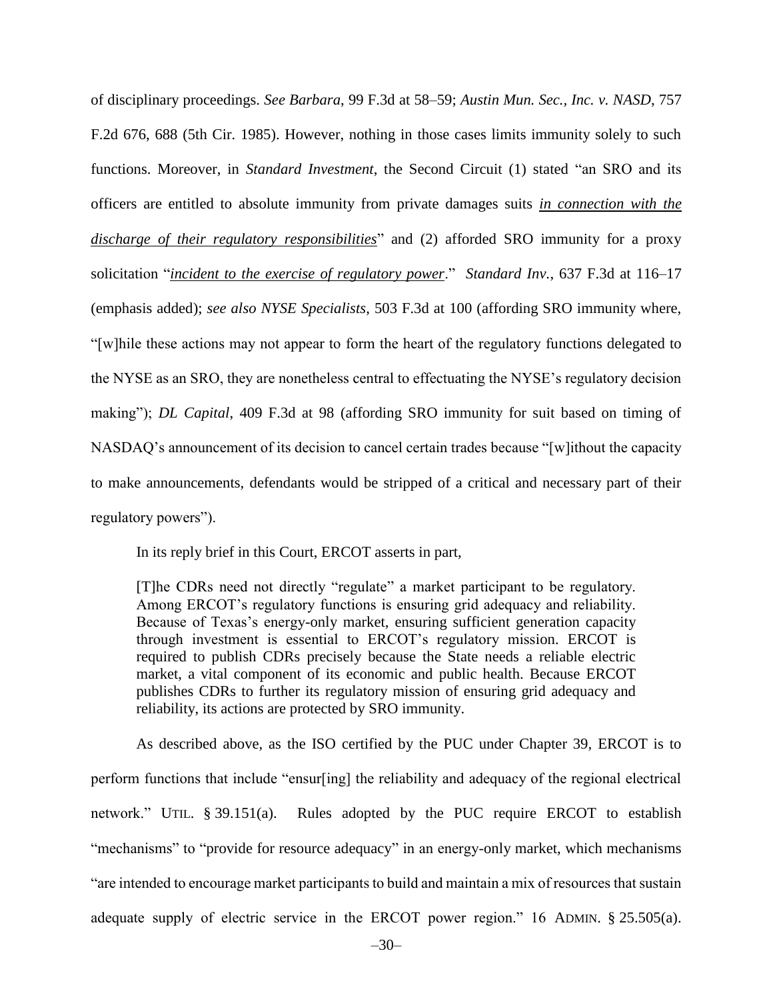of disciplinary proceedings. *See Barbara*, 99 F.3d at 58–59; *Austin Mun. Sec., Inc. v. NASD*, 757 F.2d 676, 688 (5th Cir. 1985). However, nothing in those cases limits immunity solely to such functions. Moreover, in *Standard Investment*, the Second Circuit (1) stated "an SRO and its officers are entitled to absolute immunity from private damages suits *in connection with the discharge of their regulatory responsibilities*" and (2) afforded SRO immunity for a proxy solicitation "*incident to the exercise of regulatory power*." *Standard Inv.*, 637 F.3d at 116–17 (emphasis added); *see also NYSE Specialists*, 503 F.3d at 100 (affording SRO immunity where, "[w]hile these actions may not appear to form the heart of the regulatory functions delegated to the NYSE as an SRO, they are nonetheless central to effectuating the NYSE's regulatory decision making"); *DL Capital*, 409 F.3d at 98 (affording SRO immunity for suit based on timing of NASDAQ's announcement of its decision to cancel certain trades because "[w]ithout the capacity to make announcements, defendants would be stripped of a critical and necessary part of their regulatory powers").

In its reply brief in this Court, ERCOT asserts in part,

[T]he CDRs need not directly "regulate" a market participant to be regulatory. Among ERCOT's regulatory functions is ensuring grid adequacy and reliability. Because of Texas's energy-only market, ensuring sufficient generation capacity through investment is essential to ERCOT's regulatory mission. ERCOT is required to publish CDRs precisely because the State needs a reliable electric market, a vital component of its economic and public health. Because ERCOT publishes CDRs to further its regulatory mission of ensuring grid adequacy and reliability, its actions are protected by SRO immunity.

As described above, as the ISO certified by the PUC under Chapter 39, ERCOT is to perform functions that include "ensur[ing] the reliability and adequacy of the regional electrical network." UTIL. § 39.151(a). Rules adopted by the PUC require ERCOT to establish "mechanisms" to "provide for resource adequacy" in an energy-only market, which mechanisms "are intended to encourage market participants to build and maintain a mix of resources that sustain adequate supply of electric service in the ERCOT power region." 16 ADMIN. § 25.505(a).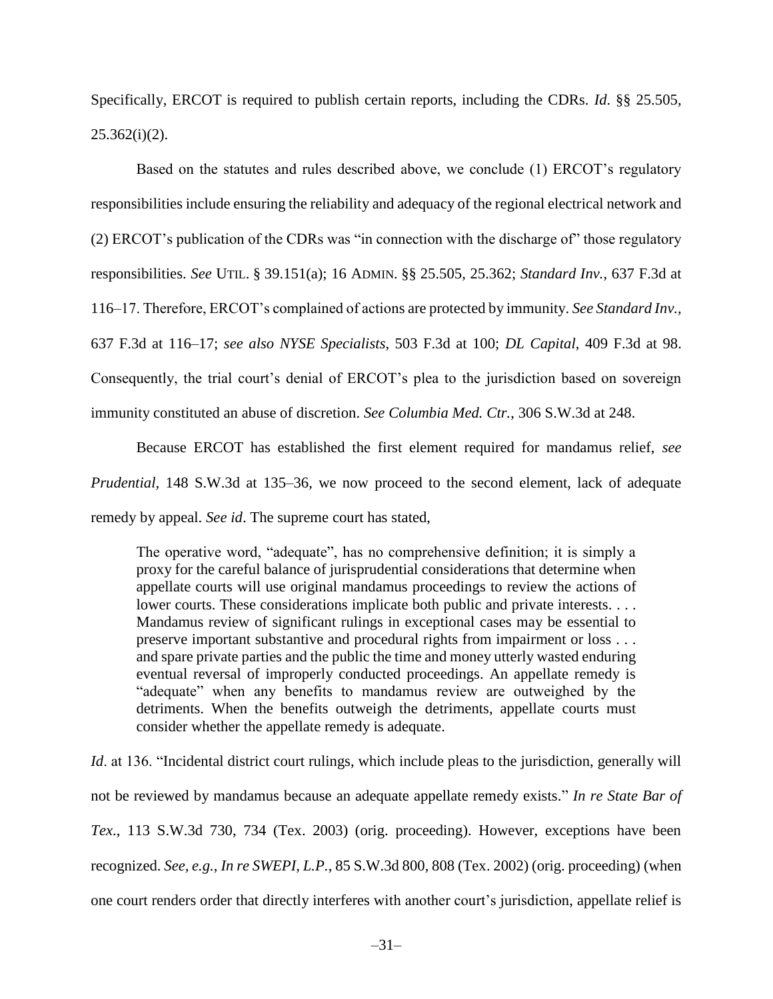Specifically, ERCOT is required to publish certain reports, including the CDRs. *Id*. §§ 25.505,  $25.362(i)(2)$ .

Based on the statutes and rules described above, we conclude (1) ERCOT's regulatory responsibilities include ensuring the reliability and adequacy of the regional electrical network and (2) ERCOT's publication of the CDRs was "in connection with the discharge of" those regulatory responsibilities. *See* UTIL. § 39.151(a); 16 ADMIN. §§ 25.505, 25.362; *Standard Inv.*, 637 F.3d at 116–17. Therefore, ERCOT's complained of actions are protected by immunity. *See Standard Inv.,*  637 F.3d at 116–17; *see also NYSE Specialists*, 503 F.3d at 100; *DL Capital*, 409 F.3d at 98. Consequently, the trial court's denial of ERCOT's plea to the jurisdiction based on sovereign immunity constituted an abuse of discretion. *See Columbia Med. Ctr.*, 306 S.W.3d at 248.

Because ERCOT has established the first element required for mandamus relief, *see Prudential*, 148 S.W.3d at 135–36, we now proceed to the second element, lack of adequate remedy by appeal. *See id*. The supreme court has stated,

The operative word, "adequate", has no comprehensive definition; it is simply a proxy for the careful balance of jurisprudential considerations that determine when appellate courts will use original mandamus proceedings to review the actions of lower courts. These considerations implicate both public and private interests. . . . Mandamus review of significant rulings in exceptional cases may be essential to preserve important substantive and procedural rights from impairment or loss . . . and spare private parties and the public the time and money utterly wasted enduring eventual reversal of improperly conducted proceedings. An appellate remedy is "adequate" when any benefits to mandamus review are outweighed by the detriments. When the benefits outweigh the detriments, appellate courts must consider whether the appellate remedy is adequate.

*Id.* at 136. "Incidental district court rulings, which include pleas to the jurisdiction, generally will not be reviewed by mandamus because an adequate appellate remedy exists." *In re State Bar of Tex*., 113 S.W.3d 730, 734 (Tex. 2003) (orig. proceeding). However, exceptions have been recognized. *See, e.g.*, *In re SWEPI, L.P.*, 85 S.W.3d 800, 808 (Tex. 2002) (orig. proceeding) (when one court renders order that directly interferes with another court's jurisdiction, appellate relief is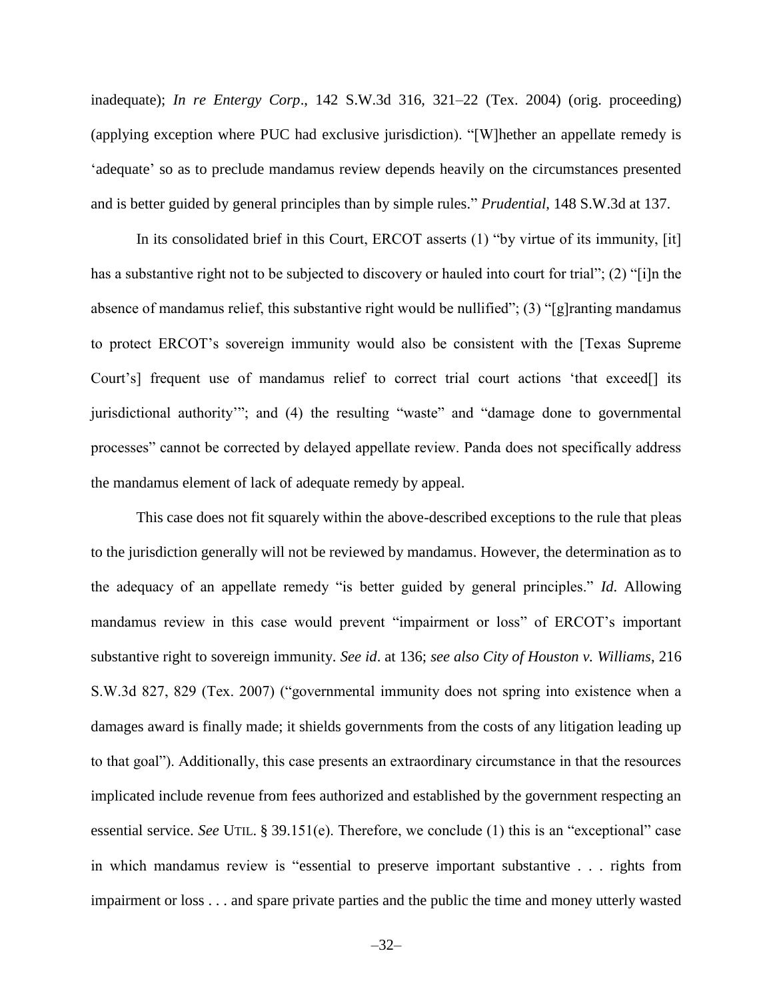inadequate); *In re Entergy Corp*., 142 S.W.3d 316, 321–22 (Tex. 2004) (orig. proceeding) (applying exception where PUC had exclusive jurisdiction). "[W]hether an appellate remedy is 'adequate' so as to preclude mandamus review depends heavily on the circumstances presented and is better guided by general principles than by simple rules." *Prudential*, 148 S.W.3d at 137.

In its consolidated brief in this Court, ERCOT asserts (1) "by virtue of its immunity, [it] has a substantive right not to be subjected to discovery or hauled into court for trial"; (2) "[i]n the absence of mandamus relief, this substantive right would be nullified"; (3) "[g]ranting mandamus to protect ERCOT's sovereign immunity would also be consistent with the [Texas Supreme Court's] frequent use of mandamus relief to correct trial court actions 'that exceed[] its jurisdictional authority'"; and (4) the resulting "waste" and "damage done to governmental processes" cannot be corrected by delayed appellate review. Panda does not specifically address the mandamus element of lack of adequate remedy by appeal.

This case does not fit squarely within the above-described exceptions to the rule that pleas to the jurisdiction generally will not be reviewed by mandamus. However, the determination as to the adequacy of an appellate remedy "is better guided by general principles." *Id*. Allowing mandamus review in this case would prevent "impairment or loss" of ERCOT's important substantive right to sovereign immunity. *See id*. at 136; *see also City of Houston v. Williams*, 216 S.W.3d 827, 829 (Tex. 2007) ("governmental immunity does not spring into existence when a damages award is finally made; it shields governments from the costs of any litigation leading up to that goal"). Additionally, this case presents an extraordinary circumstance in that the resources implicated include revenue from fees authorized and established by the government respecting an essential service. *See* UTIL. § 39.151(e). Therefore, we conclude (1) this is an "exceptional" case in which mandamus review is "essential to preserve important substantive . . . rights from impairment or loss . . . and spare private parties and the public the time and money utterly wasted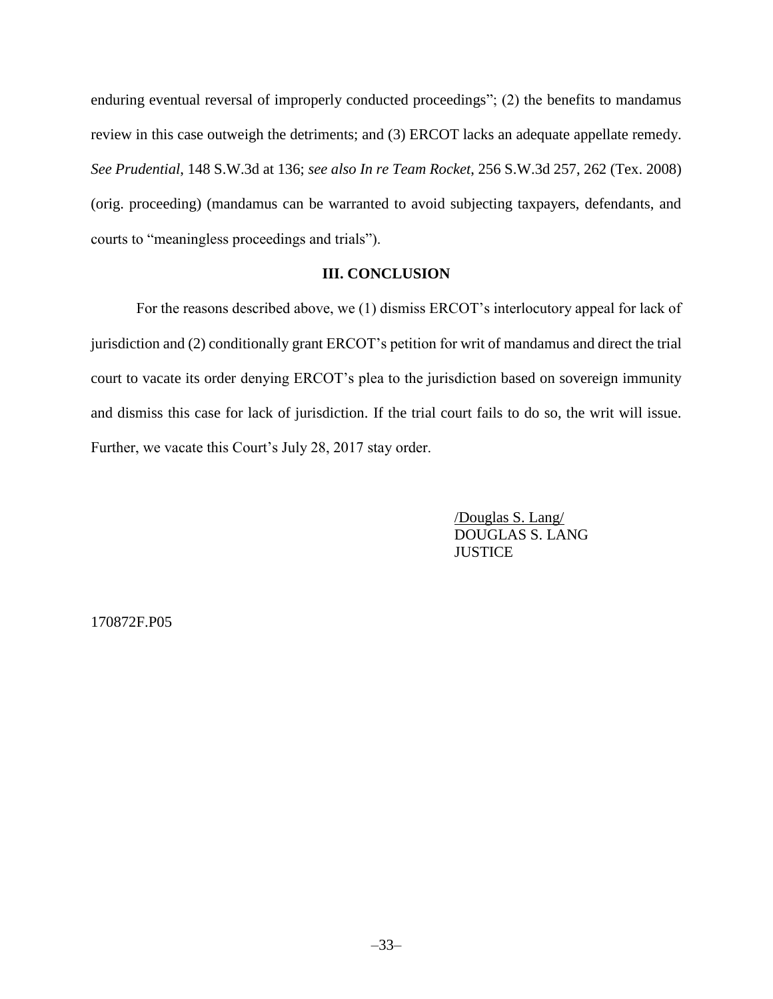enduring eventual reversal of improperly conducted proceedings"; (2) the benefits to mandamus review in this case outweigh the detriments; and (3) ERCOT lacks an adequate appellate remedy. *See Prudential*, 148 S.W.3d at 136; *see also In re Team Rocket*, 256 S.W.3d 257, 262 (Tex. 2008) (orig. proceeding) (mandamus can be warranted to avoid subjecting taxpayers, defendants, and courts to "meaningless proceedings and trials").

# **III. CONCLUSION**

For the reasons described above, we (1) dismiss ERCOT's interlocutory appeal for lack of jurisdiction and (2) conditionally grant ERCOT's petition for writ of mandamus and direct the trial court to vacate its order denying ERCOT's plea to the jurisdiction based on sovereign immunity and dismiss this case for lack of jurisdiction. If the trial court fails to do so, the writ will issue. Further, we vacate this Court's July 28, 2017 stay order.

> /Douglas S. Lang/ DOUGLAS S. LANG **JUSTICE**

170872F.P05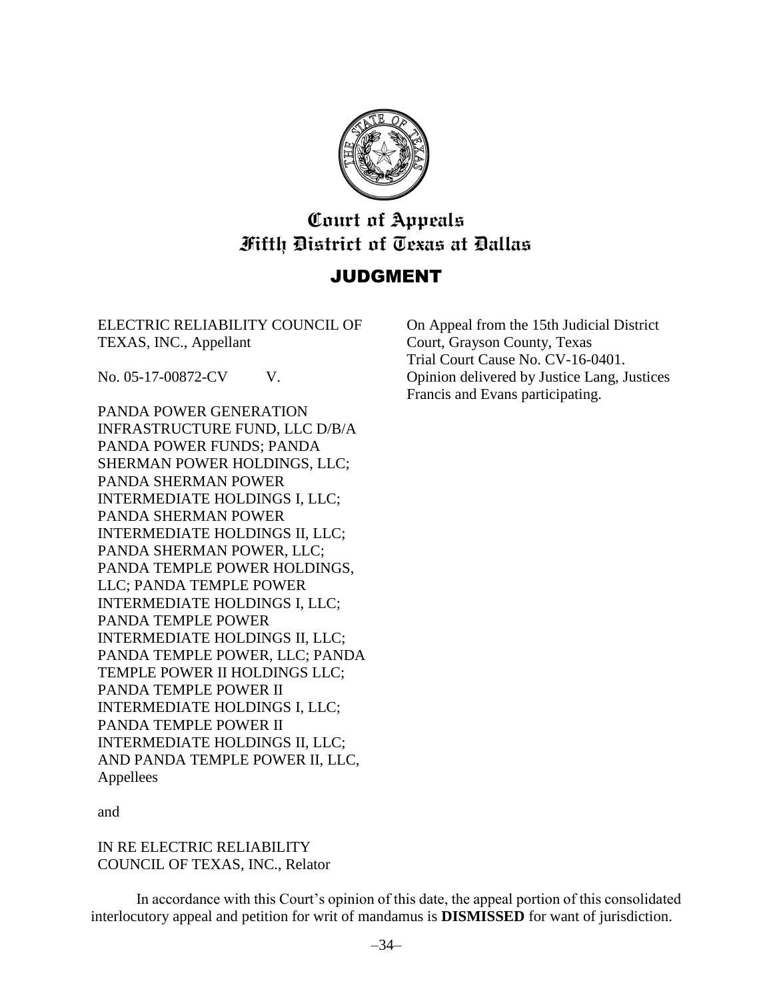

# **Court of Appeals Fifth District of Texas at Dallas**

# JUDGMENT

ELECTRIC RELIABILITY COUNCIL OF TEXAS, INC., Appellant

No. 05-17-00872-CV V.

PANDA POWER GENERATION INFRASTRUCTURE FUND, LLC D/B/A PANDA POWER FUNDS; PANDA SHERMAN POWER HOLDINGS, LLC; PANDA SHERMAN POWER INTERMEDIATE HOLDINGS I, LLC; PANDA SHERMAN POWER INTERMEDIATE HOLDINGS II, LLC; PANDA SHERMAN POWER, LLC; PANDA TEMPLE POWER HOLDINGS, LLC; PANDA TEMPLE POWER INTERMEDIATE HOLDINGS I, LLC; PANDA TEMPLE POWER INTERMEDIATE HOLDINGS II, LLC; PANDA TEMPLE POWER, LLC; PANDA TEMPLE POWER II HOLDINGS LLC; PANDA TEMPLE POWER II INTERMEDIATE HOLDINGS I, LLC; PANDA TEMPLE POWER II INTERMEDIATE HOLDINGS II, LLC; AND PANDA TEMPLE POWER II, LLC, Appellees

On Appeal from the 15th Judicial District Court, Grayson County, Texas Trial Court Cause No. CV-16-0401. Opinion delivered by Justice Lang, Justices Francis and Evans participating.

and

IN RE ELECTRIC RELIABILITY COUNCIL OF TEXAS, INC., Relator

In accordance with this Court's opinion of this date, the appeal portion of this consolidated interlocutory appeal and petition for writ of mandamus is **DISMISSED** for want of jurisdiction.